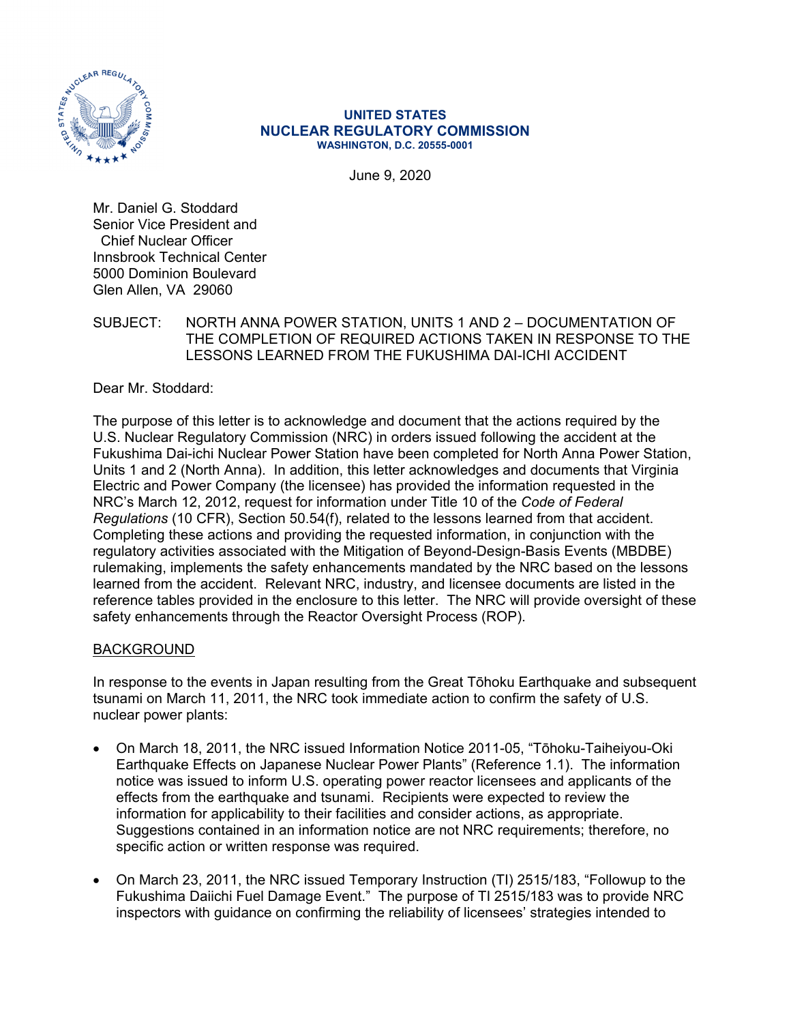

#### **UNITED STATES NUCLEAR REGULATORY COMMISSION WASHINGTON, D.C. 20555-0001**

June 9, 2020

Mr. Daniel G. Stoddard Senior Vice President and Chief Nuclear Officer Innsbrook Technical Center 5000 Dominion Boulevard Glen Allen, VA 29060

### SUBJECT: NORTH ANNA POWER STATION, UNITS 1 AND 2 – DOCUMENTATION OF THE COMPLETION OF REQUIRED ACTIONS TAKEN IN RESPONSE TO THE LESSONS LEARNED FROM THE FUKUSHIMA DAI-ICHI ACCIDENT

Dear Mr. Stoddard:

The purpose of this letter is to acknowledge and document that the actions required by the U.S. Nuclear Regulatory Commission (NRC) in orders issued following the accident at the Fukushima Dai-ichi Nuclear Power Station have been completed for North Anna Power Station, Units 1 and 2 (North Anna). In addition, this letter acknowledges and documents that Virginia Electric and Power Company (the licensee) has provided the information requested in the NRC's March 12, 2012, request for information under Title 10 of the *Code of Federal Regulations* (10 CFR), Section 50.54(f), related to the lessons learned from that accident. Completing these actions and providing the requested information, in conjunction with the regulatory activities associated with the Mitigation of Beyond-Design-Basis Events (MBDBE) rulemaking, implements the safety enhancements mandated by the NRC based on the lessons learned from the accident. Relevant NRC, industry, and licensee documents are listed in the reference tables provided in the enclosure to this letter. The NRC will provide oversight of these safety enhancements through the Reactor Oversight Process (ROP).

### BACKGROUND

In response to the events in Japan resulting from the Great Tōhoku Earthquake and subsequent tsunami on March 11, 2011, the NRC took immediate action to confirm the safety of U.S. nuclear power plants:

- On March 18, 2011, the NRC issued Information Notice 2011-05, "Tōhoku-Taiheiyou-Oki Earthquake Effects on Japanese Nuclear Power Plants" (Reference 1.1). The information notice was issued to inform U.S. operating power reactor licensees and applicants of the effects from the earthquake and tsunami. Recipients were expected to review the information for applicability to their facilities and consider actions, as appropriate. Suggestions contained in an information notice are not NRC requirements; therefore, no specific action or written response was required.
- On March 23, 2011, the NRC issued Temporary Instruction (TI) 2515/183, "Followup to the Fukushima Daiichi Fuel Damage Event." The purpose of TI 2515/183 was to provide NRC inspectors with guidance on confirming the reliability of licensees' strategies intended to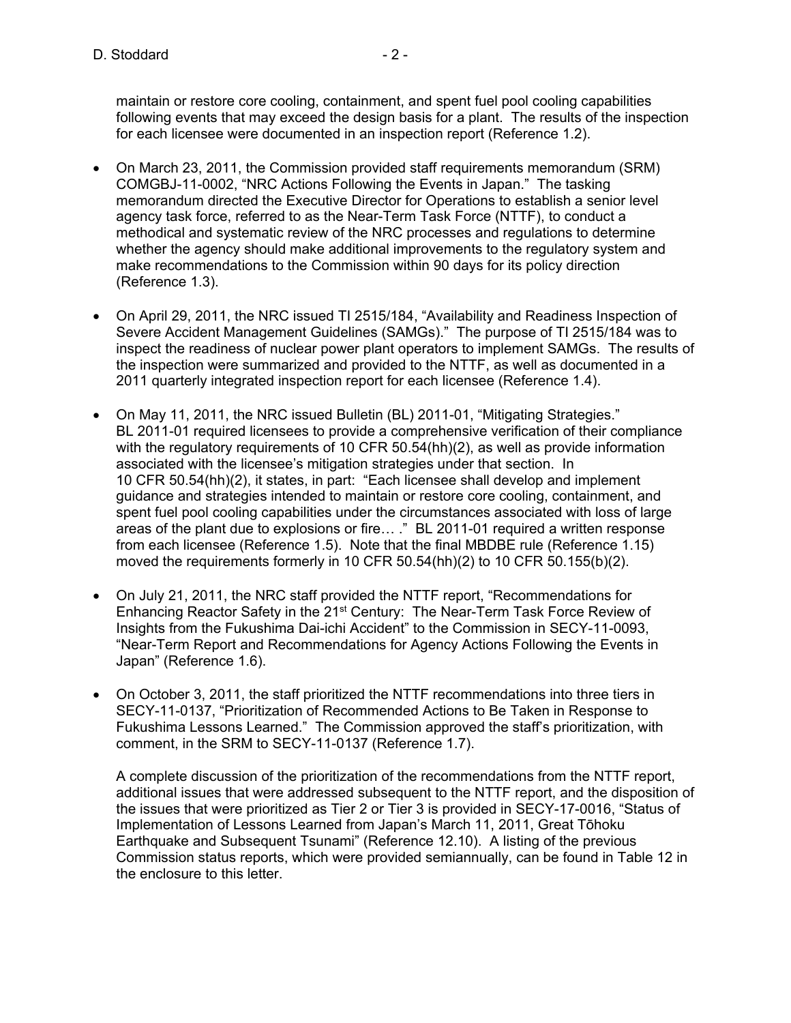maintain or restore core cooling, containment, and spent fuel pool cooling capabilities following events that may exceed the design basis for a plant. The results of the inspection for each licensee were documented in an inspection report (Reference 1.2).

- On March 23, 2011, the Commission provided staff requirements memorandum (SRM) COMGBJ-11-0002, "NRC Actions Following the Events in Japan." The tasking memorandum directed the Executive Director for Operations to establish a senior level agency task force, referred to as the Near-Term Task Force (NTTF), to conduct a methodical and systematic review of the NRC processes and regulations to determine whether the agency should make additional improvements to the regulatory system and make recommendations to the Commission within 90 days for its policy direction (Reference 1.3).
- On April 29, 2011, the NRC issued TI 2515/184, "Availability and Readiness Inspection of Severe Accident Management Guidelines (SAMGs)." The purpose of TI 2515/184 was to inspect the readiness of nuclear power plant operators to implement SAMGs. The results of the inspection were summarized and provided to the NTTF, as well as documented in a 2011 quarterly integrated inspection report for each licensee (Reference 1.4).
- On May 11, 2011, the NRC issued Bulletin (BL) 2011-01, "Mitigating Strategies." BL 2011-01 required licensees to provide a comprehensive verification of their compliance with the regulatory requirements of 10 CFR 50.54(hh)(2), as well as provide information associated with the licensee's mitigation strategies under that section. In 10 CFR 50.54(hh)(2), it states, in part: "Each licensee shall develop and implement guidance and strategies intended to maintain or restore core cooling, containment, and spent fuel pool cooling capabilities under the circumstances associated with loss of large areas of the plant due to explosions or fire… ." BL 2011-01 required a written response from each licensee (Reference 1.5). Note that the final MBDBE rule (Reference 1.15) moved the requirements formerly in 10 CFR 50.54(hh)(2) to 10 CFR 50.155(b)(2).
- On July 21, 2011, the NRC staff provided the NTTF report, "Recommendations for Enhancing Reactor Safety in the 21<sup>st</sup> Century: The Near-Term Task Force Review of Insights from the Fukushima Dai-ichi Accident" to the Commission in SECY-11-0093, "Near-Term Report and Recommendations for Agency Actions Following the Events in Japan" (Reference 1.6).
- On October 3, 2011, the staff prioritized the NTTF recommendations into three tiers in SECY-11-0137, "Prioritization of Recommended Actions to Be Taken in Response to Fukushima Lessons Learned." The Commission approved the staff's prioritization, with comment, in the SRM to SECY-11-0137 (Reference 1.7).

A complete discussion of the prioritization of the recommendations from the NTTF report, additional issues that were addressed subsequent to the NTTF report, and the disposition of the issues that were prioritized as Tier 2 or Tier 3 is provided in SECY-17-0016, "Status of Implementation of Lessons Learned from Japan's March 11, 2011, Great Tōhoku Earthquake and Subsequent Tsunami" (Reference 12.10). A listing of the previous Commission status reports, which were provided semiannually, can be found in Table 12 in the enclosure to this letter.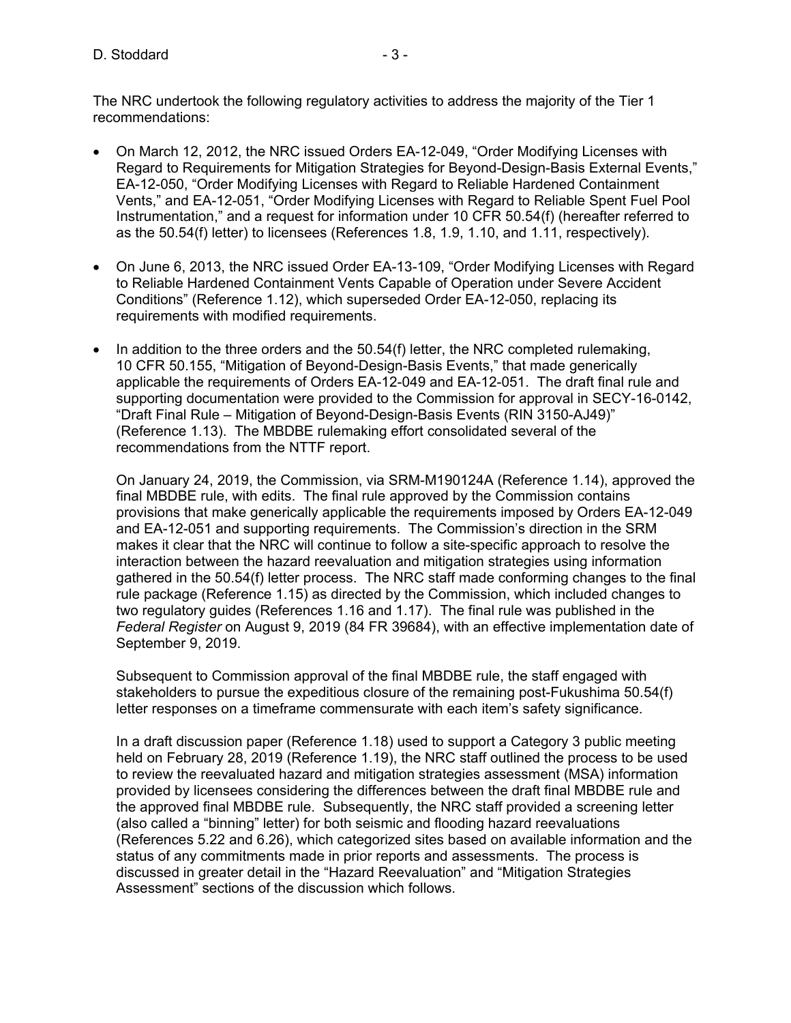The NRC undertook the following regulatory activities to address the majority of the Tier 1 recommendations:

- On March 12, 2012, the NRC issued Orders EA-12-049, "Order Modifying Licenses with Regard to Requirements for Mitigation Strategies for Beyond-Design-Basis External Events," EA-12-050, "Order Modifying Licenses with Regard to Reliable Hardened Containment Vents," and EA-12-051, "Order Modifying Licenses with Regard to Reliable Spent Fuel Pool Instrumentation," and a request for information under 10 CFR 50.54(f) (hereafter referred to as the 50.54(f) letter) to licensees (References 1.8, 1.9, 1.10, and 1.11, respectively).
- On June 6, 2013, the NRC issued Order EA-13-109, "Order Modifying Licenses with Regard to Reliable Hardened Containment Vents Capable of Operation under Severe Accident Conditions" (Reference 1.12), which superseded Order EA-12-050, replacing its requirements with modified requirements.
- $\bullet$  In addition to the three orders and the 50.54(f) letter, the NRC completed rulemaking, 10 CFR 50.155, "Mitigation of Beyond-Design-Basis Events," that made generically applicable the requirements of Orders EA-12-049 and EA-12-051. The draft final rule and supporting documentation were provided to the Commission for approval in SECY-16-0142, "Draft Final Rule – Mitigation of Beyond-Design-Basis Events (RIN 3150-AJ49)" (Reference 1.13). The MBDBE rulemaking effort consolidated several of the recommendations from the NTTF report.

On January 24, 2019, the Commission, via SRM-M190124A (Reference 1.14), approved the final MBDBE rule, with edits. The final rule approved by the Commission contains provisions that make generically applicable the requirements imposed by Orders EA-12-049 and EA-12-051 and supporting requirements. The Commission's direction in the SRM makes it clear that the NRC will continue to follow a site-specific approach to resolve the interaction between the hazard reevaluation and mitigation strategies using information gathered in the 50.54(f) letter process. The NRC staff made conforming changes to the final rule package (Reference 1.15) as directed by the Commission, which included changes to two regulatory guides (References 1.16 and 1.17). The final rule was published in the *Federal Register* on August 9, 2019 (84 FR 39684), with an effective implementation date of September 9, 2019.

Subsequent to Commission approval of the final MBDBE rule, the staff engaged with stakeholders to pursue the expeditious closure of the remaining post-Fukushima 50.54(f) letter responses on a timeframe commensurate with each item's safety significance.

In a draft discussion paper (Reference 1.18) used to support a Category 3 public meeting held on February 28, 2019 (Reference 1.19), the NRC staff outlined the process to be used to review the reevaluated hazard and mitigation strategies assessment (MSA) information provided by licensees considering the differences between the draft final MBDBE rule and the approved final MBDBE rule. Subsequently, the NRC staff provided a screening letter (also called a "binning" letter) for both seismic and flooding hazard reevaluations (References 5.22 and 6.26), which categorized sites based on available information and the status of any commitments made in prior reports and assessments. The process is discussed in greater detail in the "Hazard Reevaluation" and "Mitigation Strategies Assessment" sections of the discussion which follows.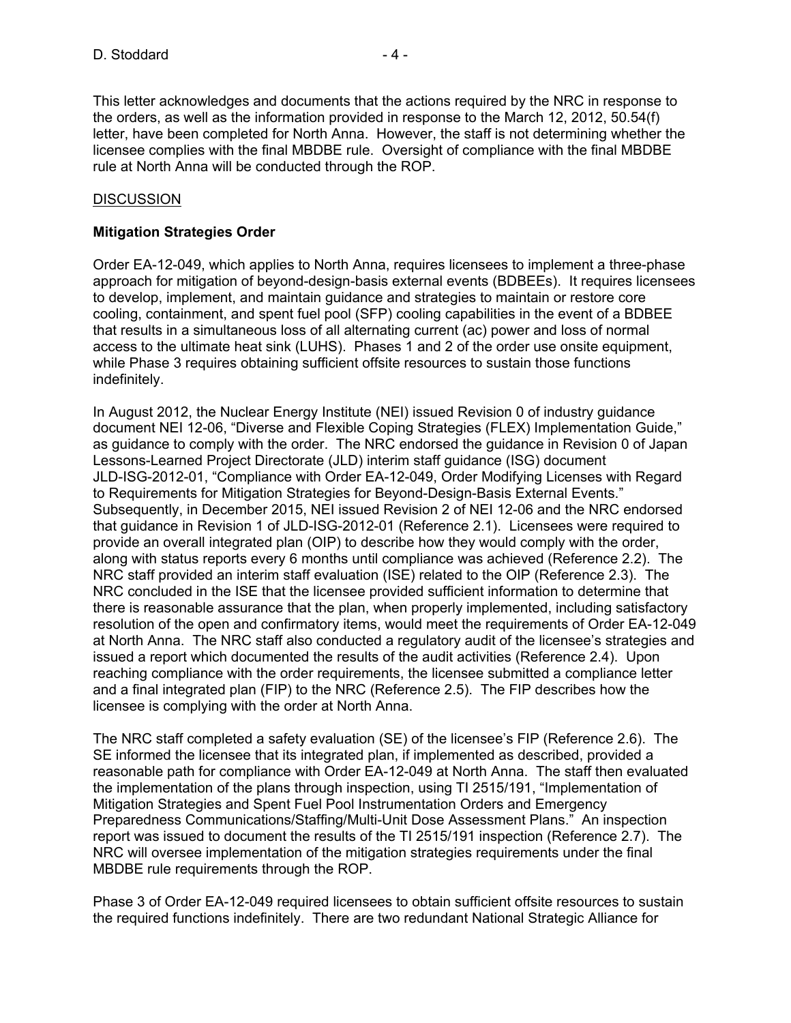This letter acknowledges and documents that the actions required by the NRC in response to the orders, as well as the information provided in response to the March 12, 2012, 50.54(f) letter, have been completed for North Anna. However, the staff is not determining whether the licensee complies with the final MBDBE rule. Oversight of compliance with the final MBDBE rule at North Anna will be conducted through the ROP.

#### **DISCUSSION**

#### **Mitigation Strategies Order**

Order EA-12-049, which applies to North Anna, requires licensees to implement a three-phase approach for mitigation of beyond-design-basis external events (BDBEEs). It requires licensees to develop, implement, and maintain guidance and strategies to maintain or restore core cooling, containment, and spent fuel pool (SFP) cooling capabilities in the event of a BDBEE that results in a simultaneous loss of all alternating current (ac) power and loss of normal access to the ultimate heat sink (LUHS). Phases 1 and 2 of the order use onsite equipment, while Phase 3 requires obtaining sufficient offsite resources to sustain those functions indefinitely.

In August 2012, the Nuclear Energy Institute (NEI) issued Revision 0 of industry guidance document NEI 12-06, "Diverse and Flexible Coping Strategies (FLEX) Implementation Guide," as guidance to comply with the order. The NRC endorsed the guidance in Revision 0 of Japan Lessons-Learned Project Directorate (JLD) interim staff guidance (ISG) document JLD-ISG-2012-01, "Compliance with Order EA-12-049, Order Modifying Licenses with Regard to Requirements for Mitigation Strategies for Beyond-Design-Basis External Events." Subsequently, in December 2015, NEI issued Revision 2 of NEI 12-06 and the NRC endorsed that guidance in Revision 1 of JLD-ISG-2012-01 (Reference 2.1). Licensees were required to provide an overall integrated plan (OIP) to describe how they would comply with the order, along with status reports every 6 months until compliance was achieved (Reference 2.2). The NRC staff provided an interim staff evaluation (ISE) related to the OIP (Reference 2.3). The NRC concluded in the ISE that the licensee provided sufficient information to determine that there is reasonable assurance that the plan, when properly implemented, including satisfactory resolution of the open and confirmatory items, would meet the requirements of Order EA-12-049 at North Anna. The NRC staff also conducted a regulatory audit of the licensee's strategies and issued a report which documented the results of the audit activities (Reference 2.4). Upon reaching compliance with the order requirements, the licensee submitted a compliance letter and a final integrated plan (FIP) to the NRC (Reference 2.5). The FIP describes how the licensee is complying with the order at North Anna.

The NRC staff completed a safety evaluation (SE) of the licensee's FIP (Reference 2.6). The SE informed the licensee that its integrated plan, if implemented as described, provided a reasonable path for compliance with Order EA-12-049 at North Anna. The staff then evaluated the implementation of the plans through inspection, using TI 2515/191, "Implementation of Mitigation Strategies and Spent Fuel Pool Instrumentation Orders and Emergency Preparedness Communications/Staffing/Multi-Unit Dose Assessment Plans." An inspection report was issued to document the results of the TI 2515/191 inspection (Reference 2.7). The NRC will oversee implementation of the mitigation strategies requirements under the final MBDBE rule requirements through the ROP.

Phase 3 of Order EA-12-049 required licensees to obtain sufficient offsite resources to sustain the required functions indefinitely. There are two redundant National Strategic Alliance for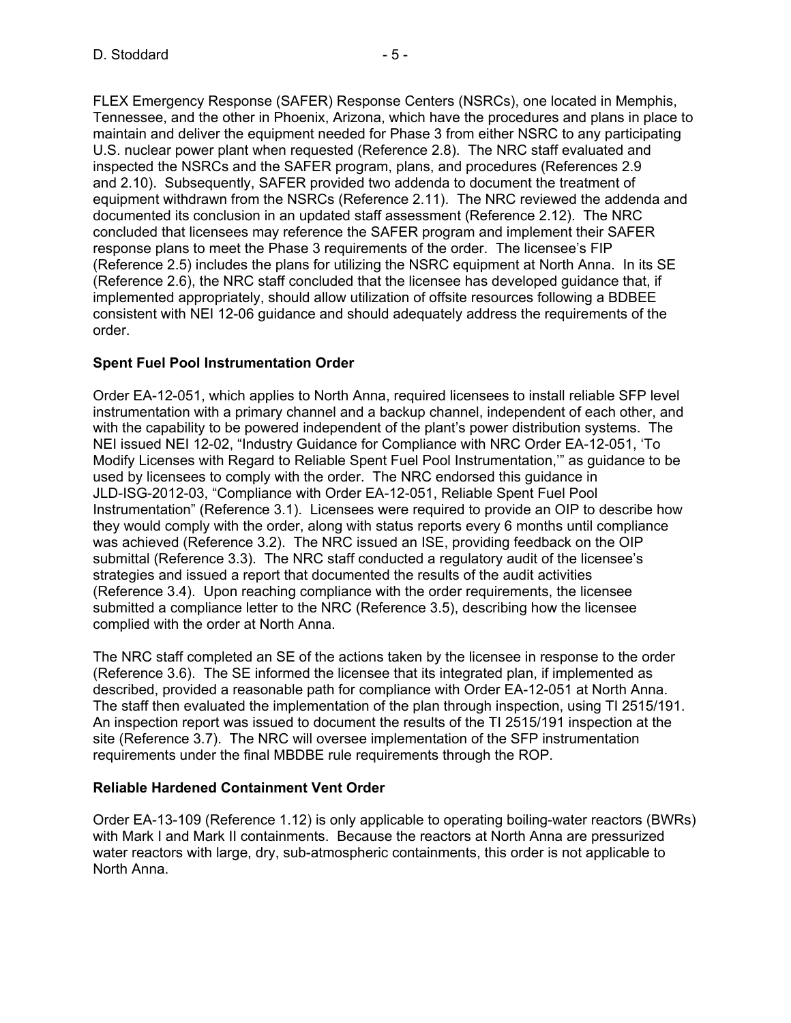FLEX Emergency Response (SAFER) Response Centers (NSRCs), one located in Memphis, Tennessee, and the other in Phoenix, Arizona, which have the procedures and plans in place to maintain and deliver the equipment needed for Phase 3 from either NSRC to any participating U.S. nuclear power plant when requested (Reference 2.8). The NRC staff evaluated and inspected the NSRCs and the SAFER program, plans, and procedures (References 2.9 and 2.10). Subsequently, SAFER provided two addenda to document the treatment of equipment withdrawn from the NSRCs (Reference 2.11). The NRC reviewed the addenda and documented its conclusion in an updated staff assessment (Reference 2.12). The NRC concluded that licensees may reference the SAFER program and implement their SAFER response plans to meet the Phase 3 requirements of the order. The licensee's FIP (Reference 2.5) includes the plans for utilizing the NSRC equipment at North Anna. In its SE (Reference 2.6), the NRC staff concluded that the licensee has developed guidance that, if implemented appropriately, should allow utilization of offsite resources following a BDBEE consistent with NEI 12-06 guidance and should adequately address the requirements of the order.

## **Spent Fuel Pool Instrumentation Order**

Order EA-12-051, which applies to North Anna, required licensees to install reliable SFP level instrumentation with a primary channel and a backup channel, independent of each other, and with the capability to be powered independent of the plant's power distribution systems. The NEI issued NEI 12-02, "Industry Guidance for Compliance with NRC Order EA-12-051, 'To Modify Licenses with Regard to Reliable Spent Fuel Pool Instrumentation,'" as guidance to be used by licensees to comply with the order. The NRC endorsed this guidance in JLD-ISG-2012-03, "Compliance with Order EA-12-051, Reliable Spent Fuel Pool Instrumentation" (Reference 3.1). Licensees were required to provide an OIP to describe how they would comply with the order, along with status reports every 6 months until compliance was achieved (Reference 3.2). The NRC issued an ISE, providing feedback on the OIP submittal (Reference 3.3). The NRC staff conducted a regulatory audit of the licensee's strategies and issued a report that documented the results of the audit activities (Reference 3.4). Upon reaching compliance with the order requirements, the licensee submitted a compliance letter to the NRC (Reference 3.5), describing how the licensee complied with the order at North Anna.

The NRC staff completed an SE of the actions taken by the licensee in response to the order (Reference 3.6). The SE informed the licensee that its integrated plan, if implemented as described, provided a reasonable path for compliance with Order EA-12-051 at North Anna. The staff then evaluated the implementation of the plan through inspection, using TI 2515/191. An inspection report was issued to document the results of the TI 2515/191 inspection at the site (Reference 3.7). The NRC will oversee implementation of the SFP instrumentation requirements under the final MBDBE rule requirements through the ROP.

## **Reliable Hardened Containment Vent Order**

Order EA-13-109 (Reference 1.12) is only applicable to operating boiling-water reactors (BWRs) with Mark I and Mark II containments. Because the reactors at North Anna are pressurized water reactors with large, dry, sub-atmospheric containments, this order is not applicable to North Anna.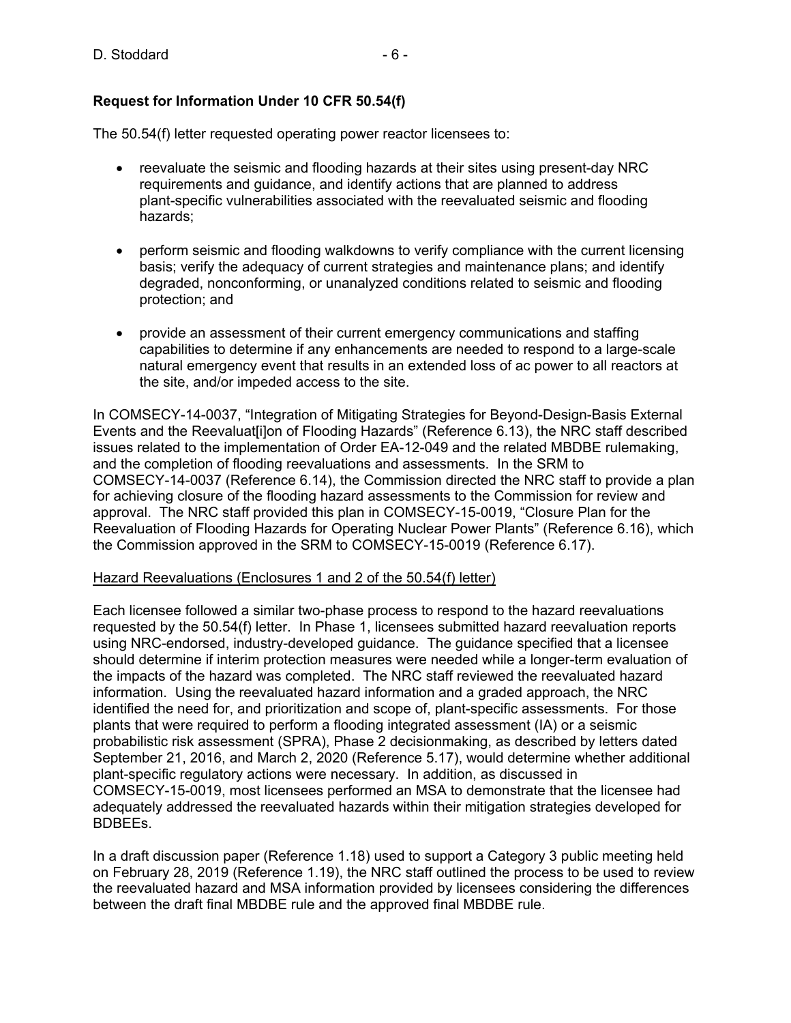## **Request for Information Under 10 CFR 50.54(f)**

The 50.54(f) letter requested operating power reactor licensees to:

- reevaluate the seismic and flooding hazards at their sites using present-day NRC requirements and guidance, and identify actions that are planned to address plant-specific vulnerabilities associated with the reevaluated seismic and flooding hazards;
- perform seismic and flooding walkdowns to verify compliance with the current licensing basis; verify the adequacy of current strategies and maintenance plans; and identify degraded, nonconforming, or unanalyzed conditions related to seismic and flooding protection; and
- provide an assessment of their current emergency communications and staffing capabilities to determine if any enhancements are needed to respond to a large-scale natural emergency event that results in an extended loss of ac power to all reactors at the site, and/or impeded access to the site.

In COMSECY-14-0037, "Integration of Mitigating Strategies for Beyond-Design-Basis External Events and the Reevaluat[i]on of Flooding Hazards" (Reference 6.13), the NRC staff described issues related to the implementation of Order EA-12-049 and the related MBDBE rulemaking, and the completion of flooding reevaluations and assessments. In the SRM to COMSECY-14-0037 (Reference 6.14), the Commission directed the NRC staff to provide a plan for achieving closure of the flooding hazard assessments to the Commission for review and approval. The NRC staff provided this plan in COMSECY-15-0019, "Closure Plan for the Reevaluation of Flooding Hazards for Operating Nuclear Power Plants" (Reference 6.16), which the Commission approved in the SRM to COMSECY-15-0019 (Reference 6.17).

### Hazard Reevaluations (Enclosures 1 and 2 of the 50.54(f) letter)

Each licensee followed a similar two-phase process to respond to the hazard reevaluations requested by the 50.54(f) letter. In Phase 1, licensees submitted hazard reevaluation reports using NRC-endorsed, industry-developed guidance. The guidance specified that a licensee should determine if interim protection measures were needed while a longer-term evaluation of the impacts of the hazard was completed. The NRC staff reviewed the reevaluated hazard information. Using the reevaluated hazard information and a graded approach, the NRC identified the need for, and prioritization and scope of, plant-specific assessments. For those plants that were required to perform a flooding integrated assessment (IA) or a seismic probabilistic risk assessment (SPRA), Phase 2 decisionmaking, as described by letters dated September 21, 2016, and March 2, 2020 (Reference 5.17), would determine whether additional plant-specific regulatory actions were necessary. In addition, as discussed in COMSECY-15-0019, most licensees performed an MSA to demonstrate that the licensee had adequately addressed the reevaluated hazards within their mitigation strategies developed for BDBEEs.

In a draft discussion paper (Reference 1.18) used to support a Category 3 public meeting held on February 28, 2019 (Reference 1.19), the NRC staff outlined the process to be used to review the reevaluated hazard and MSA information provided by licensees considering the differences between the draft final MBDBE rule and the approved final MBDBE rule.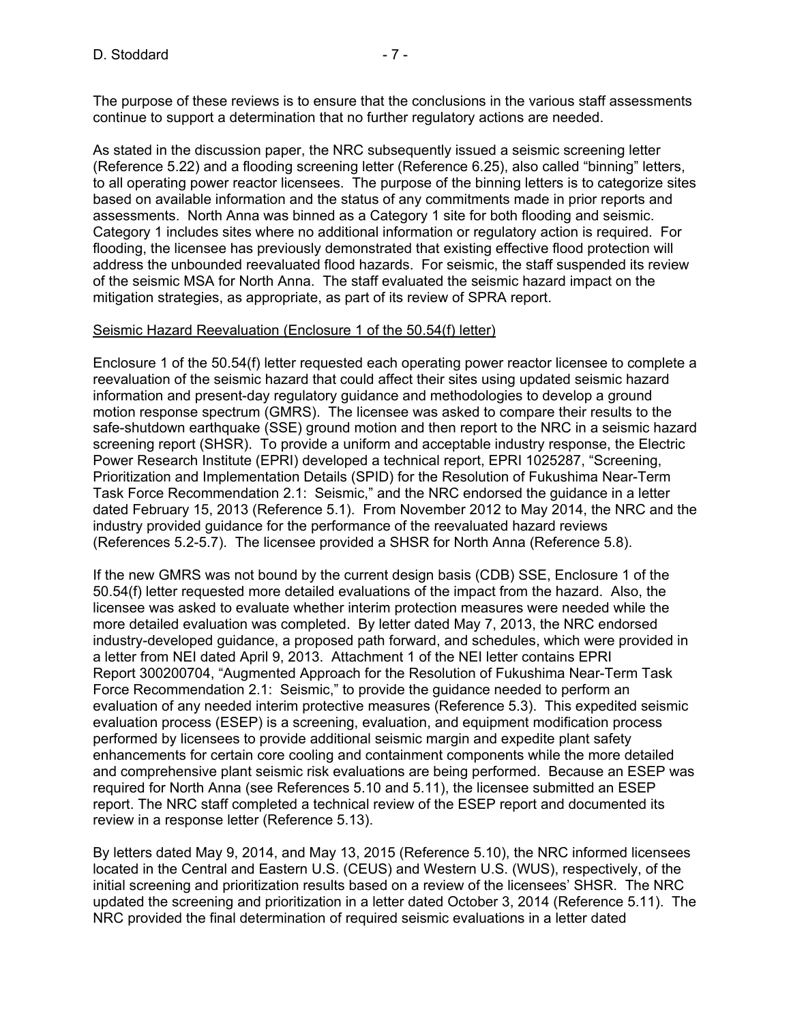As stated in the discussion paper, the NRC subsequently issued a seismic screening letter (Reference 5.22) and a flooding screening letter (Reference 6.25), also called "binning" letters, to all operating power reactor licensees. The purpose of the binning letters is to categorize sites based on available information and the status of any commitments made in prior reports and assessments. North Anna was binned as a Category 1 site for both flooding and seismic. Category 1 includes sites where no additional information or regulatory action is required. For flooding, the licensee has previously demonstrated that existing effective flood protection will address the unbounded reevaluated flood hazards. For seismic, the staff suspended its review of the seismic MSA for North Anna. The staff evaluated the seismic hazard impact on the mitigation strategies, as appropriate, as part of its review of SPRA report.

### Seismic Hazard Reevaluation (Enclosure 1 of the 50.54(f) letter)

Enclosure 1 of the 50.54(f) letter requested each operating power reactor licensee to complete a reevaluation of the seismic hazard that could affect their sites using updated seismic hazard information and present-day regulatory guidance and methodologies to develop a ground motion response spectrum (GMRS). The licensee was asked to compare their results to the safe-shutdown earthquake (SSE) ground motion and then report to the NRC in a seismic hazard screening report (SHSR). To provide a uniform and acceptable industry response, the Electric Power Research Institute (EPRI) developed a technical report, EPRI 1025287, "Screening, Prioritization and Implementation Details (SPID) for the Resolution of Fukushima Near-Term Task Force Recommendation 2.1: Seismic," and the NRC endorsed the guidance in a letter dated February 15, 2013 (Reference 5.1). From November 2012 to May 2014, the NRC and the industry provided guidance for the performance of the reevaluated hazard reviews (References 5.2-5.7). The licensee provided a SHSR for North Anna (Reference 5.8).

If the new GMRS was not bound by the current design basis (CDB) SSE, Enclosure 1 of the 50.54(f) letter requested more detailed evaluations of the impact from the hazard. Also, the licensee was asked to evaluate whether interim protection measures were needed while the more detailed evaluation was completed. By letter dated May 7, 2013, the NRC endorsed industry-developed guidance, a proposed path forward, and schedules, which were provided in a letter from NEI dated April 9, 2013. Attachment 1 of the NEI letter contains EPRI Report 300200704, "Augmented Approach for the Resolution of Fukushima Near-Term Task Force Recommendation 2.1: Seismic," to provide the guidance needed to perform an evaluation of any needed interim protective measures (Reference 5.3). This expedited seismic evaluation process (ESEP) is a screening, evaluation, and equipment modification process performed by licensees to provide additional seismic margin and expedite plant safety enhancements for certain core cooling and containment components while the more detailed and comprehensive plant seismic risk evaluations are being performed. Because an ESEP was required for North Anna (see References 5.10 and 5.11), the licensee submitted an ESEP report. The NRC staff completed a technical review of the ESEP report and documented its review in a response letter (Reference 5.13).

By letters dated May 9, 2014, and May 13, 2015 (Reference 5.10), the NRC informed licensees located in the Central and Eastern U.S. (CEUS) and Western U.S. (WUS), respectively, of the initial screening and prioritization results based on a review of the licensees' SHSR. The NRC updated the screening and prioritization in a letter dated October 3, 2014 (Reference 5.11). The NRC provided the final determination of required seismic evaluations in a letter dated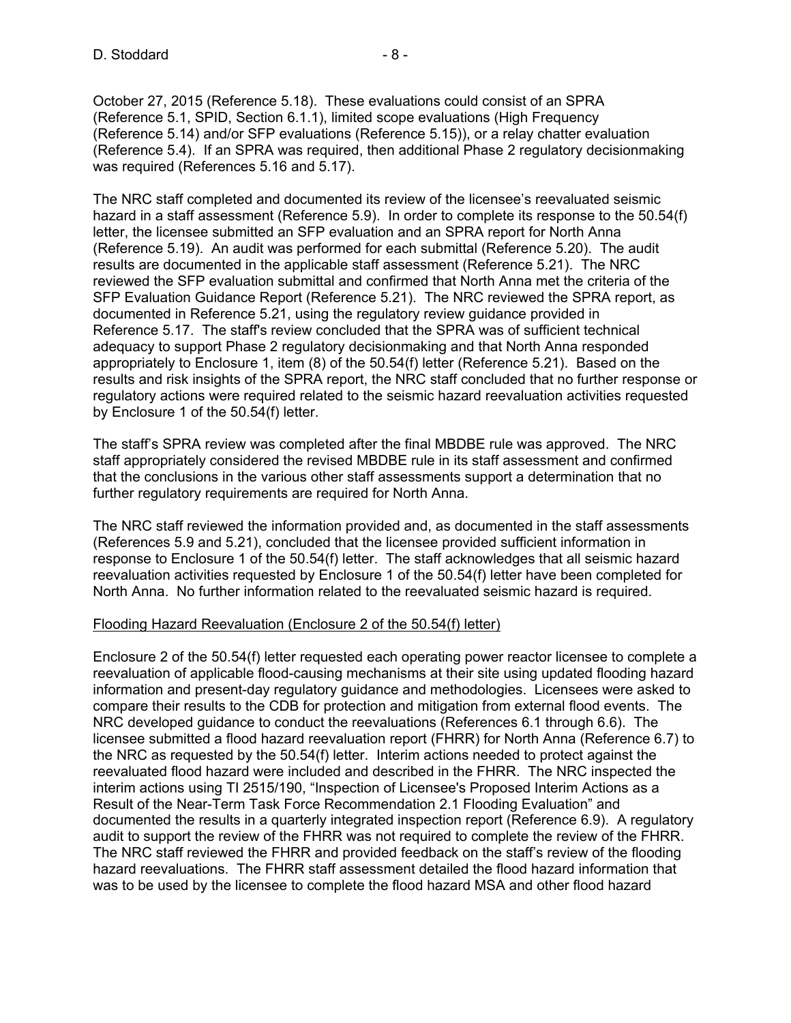October 27, 2015 (Reference 5.18). These evaluations could consist of an SPRA (Reference 5.1, SPID, Section 6.1.1), limited scope evaluations (High Frequency (Reference 5.14) and/or SFP evaluations (Reference 5.15)), or a relay chatter evaluation (Reference 5.4). If an SPRA was required, then additional Phase 2 regulatory decisionmaking was required (References 5.16 and 5.17).

The NRC staff completed and documented its review of the licensee's reevaluated seismic hazard in a staff assessment (Reference 5.9). In order to complete its response to the 50.54(f) letter, the licensee submitted an SFP evaluation and an SPRA report for North Anna (Reference 5.19). An audit was performed for each submittal (Reference 5.20). The audit results are documented in the applicable staff assessment (Reference 5.21). The NRC reviewed the SFP evaluation submittal and confirmed that North Anna met the criteria of the SFP Evaluation Guidance Report (Reference 5.21). The NRC reviewed the SPRA report, as documented in Reference 5.21, using the regulatory review guidance provided in Reference 5.17. The staff's review concluded that the SPRA was of sufficient technical adequacy to support Phase 2 regulatory decisionmaking and that North Anna responded appropriately to Enclosure 1, item (8) of the 50.54(f) letter (Reference 5.21). Based on the results and risk insights of the SPRA report, the NRC staff concluded that no further response or regulatory actions were required related to the seismic hazard reevaluation activities requested by Enclosure 1 of the 50.54(f) letter.

The staff's SPRA review was completed after the final MBDBE rule was approved. The NRC staff appropriately considered the revised MBDBE rule in its staff assessment and confirmed that the conclusions in the various other staff assessments support a determination that no further regulatory requirements are required for North Anna.

The NRC staff reviewed the information provided and, as documented in the staff assessments (References 5.9 and 5.21), concluded that the licensee provided sufficient information in response to Enclosure 1 of the 50.54(f) letter. The staff acknowledges that all seismic hazard reevaluation activities requested by Enclosure 1 of the 50.54(f) letter have been completed for North Anna. No further information related to the reevaluated seismic hazard is required.

### Flooding Hazard Reevaluation (Enclosure 2 of the 50.54(f) letter)

Enclosure 2 of the 50.54(f) letter requested each operating power reactor licensee to complete a reevaluation of applicable flood-causing mechanisms at their site using updated flooding hazard information and present-day regulatory guidance and methodologies. Licensees were asked to compare their results to the CDB for protection and mitigation from external flood events. The NRC developed guidance to conduct the reevaluations (References 6.1 through 6.6). The licensee submitted a flood hazard reevaluation report (FHRR) for North Anna (Reference 6.7) to the NRC as requested by the 50.54(f) letter. Interim actions needed to protect against the reevaluated flood hazard were included and described in the FHRR. The NRC inspected the interim actions using TI 2515/190, "Inspection of Licensee's Proposed Interim Actions as a Result of the Near-Term Task Force Recommendation 2.1 Flooding Evaluation" and documented the results in a quarterly integrated inspection report (Reference 6.9). A regulatory audit to support the review of the FHRR was not required to complete the review of the FHRR. The NRC staff reviewed the FHRR and provided feedback on the staff's review of the flooding hazard reevaluations. The FHRR staff assessment detailed the flood hazard information that was to be used by the licensee to complete the flood hazard MSA and other flood hazard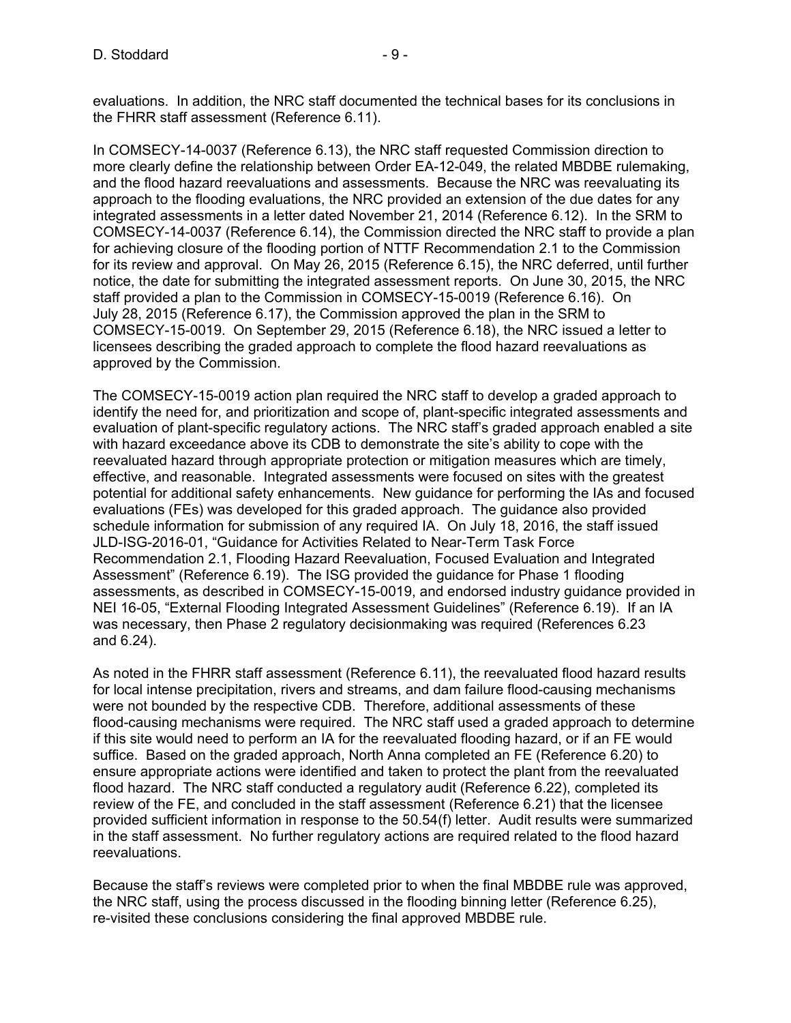evaluations. In addition, the NRC staff documented the technical bases for its conclusions in the FHRR staff assessment (Reference 6.11).

In COMSECY-14-0037 (Reference 6.13), the NRC staff requested Commission direction to more clearly define the relationship between Order EA-12-049, the related MBDBE rulemaking, and the flood hazard reevaluations and assessments. Because the NRC was reevaluating its approach to the flooding evaluations, the NRC provided an extension of the due dates for any integrated assessments in a letter dated November 21, 2014 (Reference 6.12). In the SRM to COMSECY-14-0037 (Reference 6.14), the Commission directed the NRC staff to provide a plan for achieving closure of the flooding portion of NTTF Recommendation 2.1 to the Commission for its review and approval. On May 26, 2015 (Reference 6.15), the NRC deferred, until further notice, the date for submitting the integrated assessment reports. On June 30, 2015, the NRC staff provided a plan to the Commission in COMSECY-15-0019 (Reference 6.16). On July 28, 2015 (Reference 6.17), the Commission approved the plan in the SRM to COMSECY-15-0019. On September 29, 2015 (Reference 6.18), the NRC issued a letter to licensees describing the graded approach to complete the flood hazard reevaluations as approved by the Commission.

The COMSECY-15-0019 action plan required the NRC staff to develop a graded approach to identify the need for, and prioritization and scope of, plant-specific integrated assessments and evaluation of plant-specific regulatory actions. The NRC staff's graded approach enabled a site with hazard exceedance above its CDB to demonstrate the site's ability to cope with the reevaluated hazard through appropriate protection or mitigation measures which are timely, effective, and reasonable. Integrated assessments were focused on sites with the greatest potential for additional safety enhancements. New guidance for performing the IAs and focused evaluations (FEs) was developed for this graded approach. The guidance also provided schedule information for submission of any required IA. On July 18, 2016, the staff issued JLD-ISG-2016-01, "Guidance for Activities Related to Near-Term Task Force Recommendation 2.1, Flooding Hazard Reevaluation, Focused Evaluation and Integrated Assessment" (Reference 6.19). The ISG provided the guidance for Phase 1 flooding assessments, as described in COMSECY-15-0019, and endorsed industry guidance provided in NEI 16-05, "External Flooding Integrated Assessment Guidelines" (Reference 6.19). If an IA was necessary, then Phase 2 regulatory decisionmaking was required (References 6.23 and 6.24).

As noted in the FHRR staff assessment (Reference 6.11), the reevaluated flood hazard results for local intense precipitation, rivers and streams, and dam failure flood-causing mechanisms were not bounded by the respective CDB. Therefore, additional assessments of these flood-causing mechanisms were required. The NRC staff used a graded approach to determine if this site would need to perform an IA for the reevaluated flooding hazard, or if an FE would suffice. Based on the graded approach, North Anna completed an FE (Reference 6.20) to ensure appropriate actions were identified and taken to protect the plant from the reevaluated flood hazard. The NRC staff conducted a regulatory audit (Reference 6.22), completed its review of the FE, and concluded in the staff assessment (Reference 6.21) that the licensee provided sufficient information in response to the 50.54(f) letter. Audit results were summarized in the staff assessment. No further regulatory actions are required related to the flood hazard reevaluations.

Because the staff's reviews were completed prior to when the final MBDBE rule was approved, the NRC staff, using the process discussed in the flooding binning letter (Reference 6.25), re-visited these conclusions considering the final approved MBDBE rule.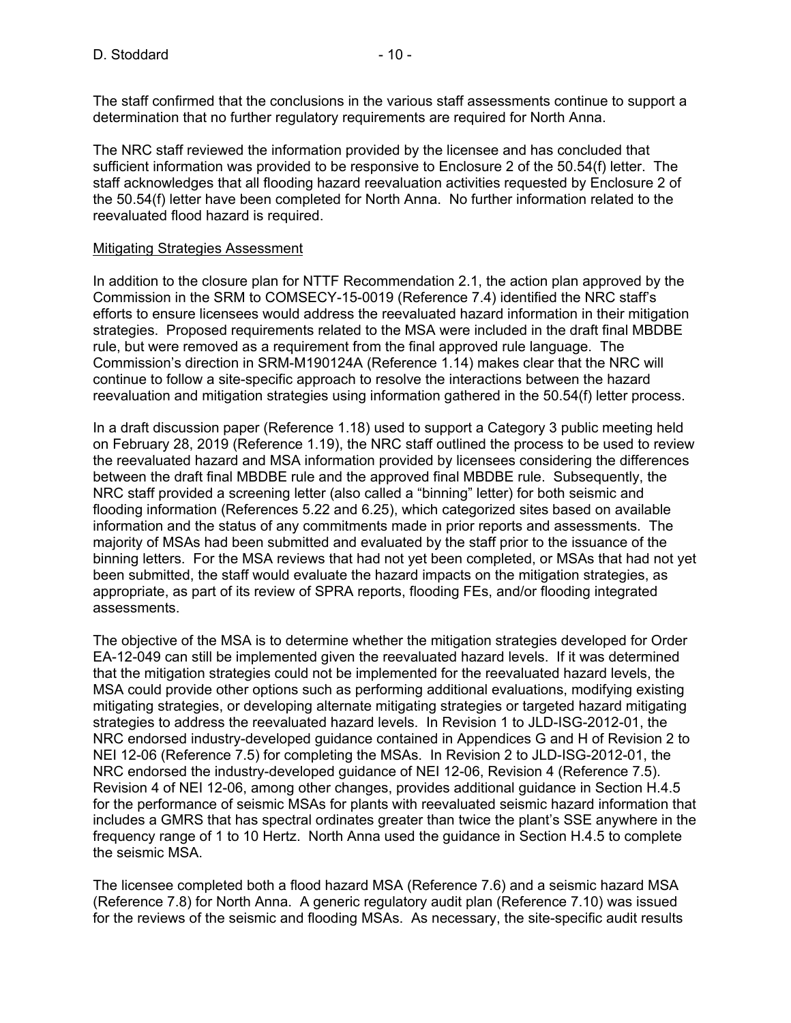The staff confirmed that the conclusions in the various staff assessments continue to support a determination that no further regulatory requirements are required for North Anna.

The NRC staff reviewed the information provided by the licensee and has concluded that sufficient information was provided to be responsive to Enclosure 2 of the 50.54(f) letter. The staff acknowledges that all flooding hazard reevaluation activities requested by Enclosure 2 of the 50.54(f) letter have been completed for North Anna. No further information related to the reevaluated flood hazard is required.

## Mitigating Strategies Assessment

In addition to the closure plan for NTTF Recommendation 2.1, the action plan approved by the Commission in the SRM to COMSECY-15-0019 (Reference 7.4) identified the NRC staff's efforts to ensure licensees would address the reevaluated hazard information in their mitigation strategies. Proposed requirements related to the MSA were included in the draft final MBDBE rule, but were removed as a requirement from the final approved rule language. The Commission's direction in SRM-M190124A (Reference 1.14) makes clear that the NRC will continue to follow a site-specific approach to resolve the interactions between the hazard reevaluation and mitigation strategies using information gathered in the 50.54(f) letter process.

In a draft discussion paper (Reference 1.18) used to support a Category 3 public meeting held on February 28, 2019 (Reference 1.19), the NRC staff outlined the process to be used to review the reevaluated hazard and MSA information provided by licensees considering the differences between the draft final MBDBE rule and the approved final MBDBE rule. Subsequently, the NRC staff provided a screening letter (also called a "binning" letter) for both seismic and flooding information (References 5.22 and 6.25), which categorized sites based on available information and the status of any commitments made in prior reports and assessments. The majority of MSAs had been submitted and evaluated by the staff prior to the issuance of the binning letters. For the MSA reviews that had not yet been completed, or MSAs that had not yet been submitted, the staff would evaluate the hazard impacts on the mitigation strategies, as appropriate, as part of its review of SPRA reports, flooding FEs, and/or flooding integrated assessments.

The objective of the MSA is to determine whether the mitigation strategies developed for Order EA-12-049 can still be implemented given the reevaluated hazard levels. If it was determined that the mitigation strategies could not be implemented for the reevaluated hazard levels, the MSA could provide other options such as performing additional evaluations, modifying existing mitigating strategies, or developing alternate mitigating strategies or targeted hazard mitigating strategies to address the reevaluated hazard levels. In Revision 1 to JLD-ISG-2012-01, the NRC endorsed industry-developed guidance contained in Appendices G and H of Revision 2 to NEI 12-06 (Reference 7.5) for completing the MSAs. In Revision 2 to JLD-ISG-2012-01, the NRC endorsed the industry-developed guidance of NEI 12-06, Revision 4 (Reference 7.5). Revision 4 of NEI 12-06, among other changes, provides additional guidance in Section H.4.5 for the performance of seismic MSAs for plants with reevaluated seismic hazard information that includes a GMRS that has spectral ordinates greater than twice the plant's SSE anywhere in the frequency range of 1 to 10 Hertz. North Anna used the guidance in Section H.4.5 to complete the seismic MSA.

The licensee completed both a flood hazard MSA (Reference 7.6) and a seismic hazard MSA (Reference 7.8) for North Anna. A generic regulatory audit plan (Reference 7.10) was issued for the reviews of the seismic and flooding MSAs. As necessary, the site-specific audit results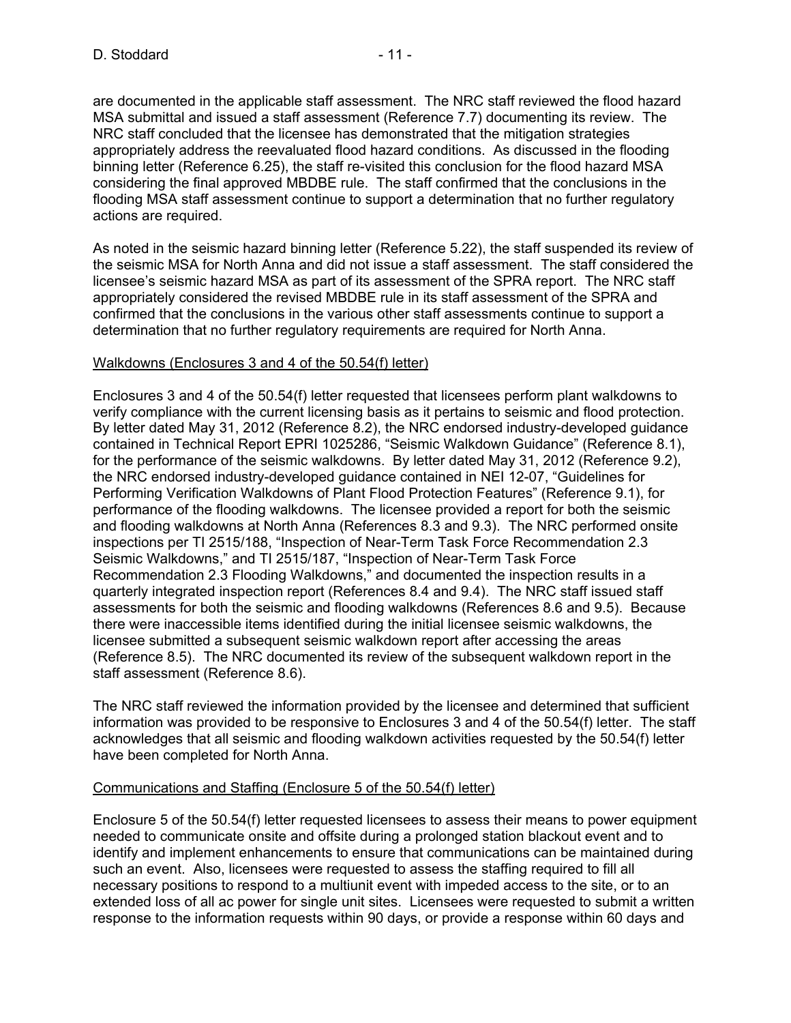are documented in the applicable staff assessment. The NRC staff reviewed the flood hazard MSA submittal and issued a staff assessment (Reference 7.7) documenting its review. The NRC staff concluded that the licensee has demonstrated that the mitigation strategies appropriately address the reevaluated flood hazard conditions. As discussed in the flooding binning letter (Reference 6.25), the staff re-visited this conclusion for the flood hazard MSA considering the final approved MBDBE rule. The staff confirmed that the conclusions in the flooding MSA staff assessment continue to support a determination that no further regulatory actions are required.

As noted in the seismic hazard binning letter (Reference 5.22), the staff suspended its review of the seismic MSA for North Anna and did not issue a staff assessment. The staff considered the licensee's seismic hazard MSA as part of its assessment of the SPRA report. The NRC staff appropriately considered the revised MBDBE rule in its staff assessment of the SPRA and confirmed that the conclusions in the various other staff assessments continue to support a determination that no further regulatory requirements are required for North Anna.

#### Walkdowns (Enclosures 3 and 4 of the 50.54(f) letter)

Enclosures 3 and 4 of the 50.54(f) letter requested that licensees perform plant walkdowns to verify compliance with the current licensing basis as it pertains to seismic and flood protection. By letter dated May 31, 2012 (Reference 8.2), the NRC endorsed industry-developed guidance contained in Technical Report EPRI 1025286, "Seismic Walkdown Guidance" (Reference 8.1), for the performance of the seismic walkdowns. By letter dated May 31, 2012 (Reference 9.2), the NRC endorsed industry-developed guidance contained in NEI 12-07, "Guidelines for Performing Verification Walkdowns of Plant Flood Protection Features" (Reference 9.1), for performance of the flooding walkdowns. The licensee provided a report for both the seismic and flooding walkdowns at North Anna (References 8.3 and 9.3). The NRC performed onsite inspections per TI 2515/188, "Inspection of Near-Term Task Force Recommendation 2.3 Seismic Walkdowns," and TI 2515/187, "Inspection of Near-Term Task Force Recommendation 2.3 Flooding Walkdowns," and documented the inspection results in a quarterly integrated inspection report (References 8.4 and 9.4). The NRC staff issued staff assessments for both the seismic and flooding walkdowns (References 8.6 and 9.5). Because there were inaccessible items identified during the initial licensee seismic walkdowns, the licensee submitted a subsequent seismic walkdown report after accessing the areas (Reference 8.5). The NRC documented its review of the subsequent walkdown report in the staff assessment (Reference 8.6).

The NRC staff reviewed the information provided by the licensee and determined that sufficient information was provided to be responsive to Enclosures 3 and 4 of the 50.54(f) letter. The staff acknowledges that all seismic and flooding walkdown activities requested by the 50.54(f) letter have been completed for North Anna.

### Communications and Staffing (Enclosure 5 of the 50.54(f) letter)

Enclosure 5 of the 50.54(f) letter requested licensees to assess their means to power equipment needed to communicate onsite and offsite during a prolonged station blackout event and to identify and implement enhancements to ensure that communications can be maintained during such an event. Also, licensees were requested to assess the staffing required to fill all necessary positions to respond to a multiunit event with impeded access to the site, or to an extended loss of all ac power for single unit sites. Licensees were requested to submit a written response to the information requests within 90 days, or provide a response within 60 days and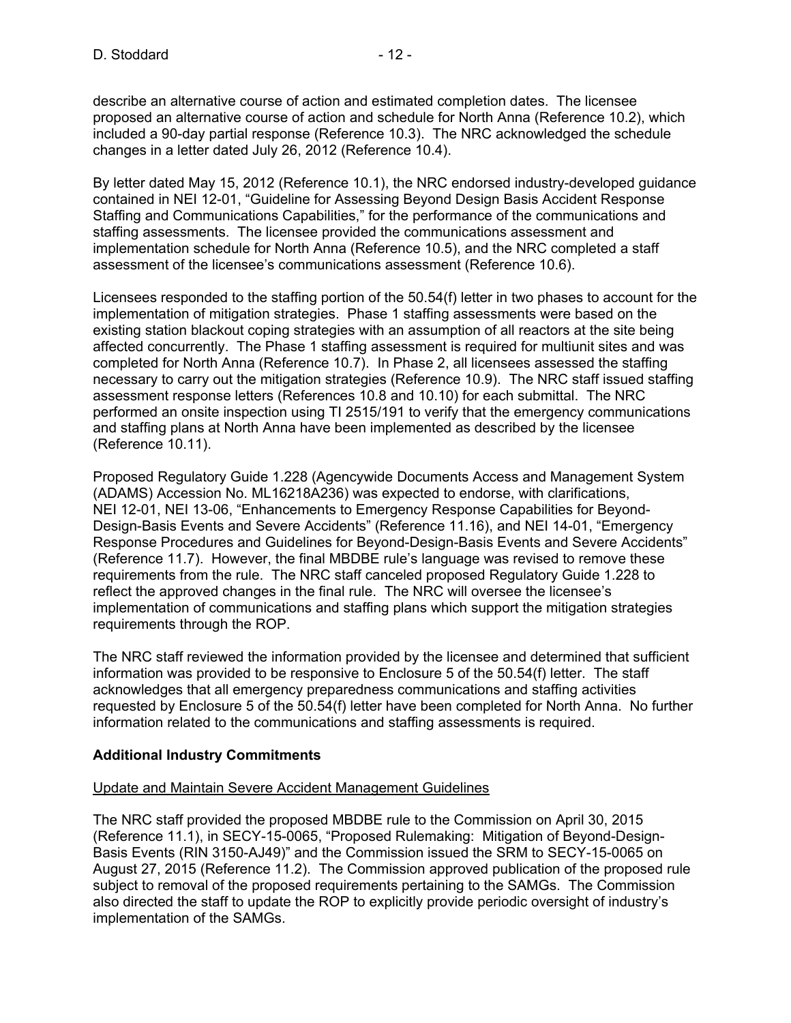describe an alternative course of action and estimated completion dates. The licensee proposed an alternative course of action and schedule for North Anna (Reference 10.2), which included a 90-day partial response (Reference 10.3). The NRC acknowledged the schedule changes in a letter dated July 26, 2012 (Reference 10.4).

By letter dated May 15, 2012 (Reference 10.1), the NRC endorsed industry-developed guidance contained in NEI 12-01, "Guideline for Assessing Beyond Design Basis Accident Response Staffing and Communications Capabilities," for the performance of the communications and staffing assessments. The licensee provided the communications assessment and implementation schedule for North Anna (Reference 10.5), and the NRC completed a staff assessment of the licensee's communications assessment (Reference 10.6).

Licensees responded to the staffing portion of the 50.54(f) letter in two phases to account for the implementation of mitigation strategies. Phase 1 staffing assessments were based on the existing station blackout coping strategies with an assumption of all reactors at the site being affected concurrently. The Phase 1 staffing assessment is required for multiunit sites and was completed for North Anna (Reference 10.7). In Phase 2, all licensees assessed the staffing necessary to carry out the mitigation strategies (Reference 10.9). The NRC staff issued staffing assessment response letters (References 10.8 and 10.10) for each submittal. The NRC performed an onsite inspection using TI 2515/191 to verify that the emergency communications and staffing plans at North Anna have been implemented as described by the licensee (Reference 10.11).

Proposed Regulatory Guide 1.228 (Agencywide Documents Access and Management System (ADAMS) Accession No. ML16218A236) was expected to endorse, with clarifications, NEI 12-01, NEI 13-06, "Enhancements to Emergency Response Capabilities for Beyond-Design-Basis Events and Severe Accidents" (Reference 11.16), and NEI 14-01, "Emergency Response Procedures and Guidelines for Beyond-Design-Basis Events and Severe Accidents" (Reference 11.7). However, the final MBDBE rule's language was revised to remove these requirements from the rule. The NRC staff canceled proposed Regulatory Guide 1.228 to reflect the approved changes in the final rule. The NRC will oversee the licensee's implementation of communications and staffing plans which support the mitigation strategies requirements through the ROP.

The NRC staff reviewed the information provided by the licensee and determined that sufficient information was provided to be responsive to Enclosure 5 of the 50.54(f) letter. The staff acknowledges that all emergency preparedness communications and staffing activities requested by Enclosure 5 of the 50.54(f) letter have been completed for North Anna. No further information related to the communications and staffing assessments is required.

### **Additional Industry Commitments**

### Update and Maintain Severe Accident Management Guidelines

The NRC staff provided the proposed MBDBE rule to the Commission on April 30, 2015 (Reference 11.1), in SECY-15-0065, "Proposed Rulemaking: Mitigation of Beyond-Design-Basis Events (RIN 3150-AJ49)" and the Commission issued the SRM to SECY-15-0065 on August 27, 2015 (Reference 11.2). The Commission approved publication of the proposed rule subject to removal of the proposed requirements pertaining to the SAMGs. The Commission also directed the staff to update the ROP to explicitly provide periodic oversight of industry's implementation of the SAMGs.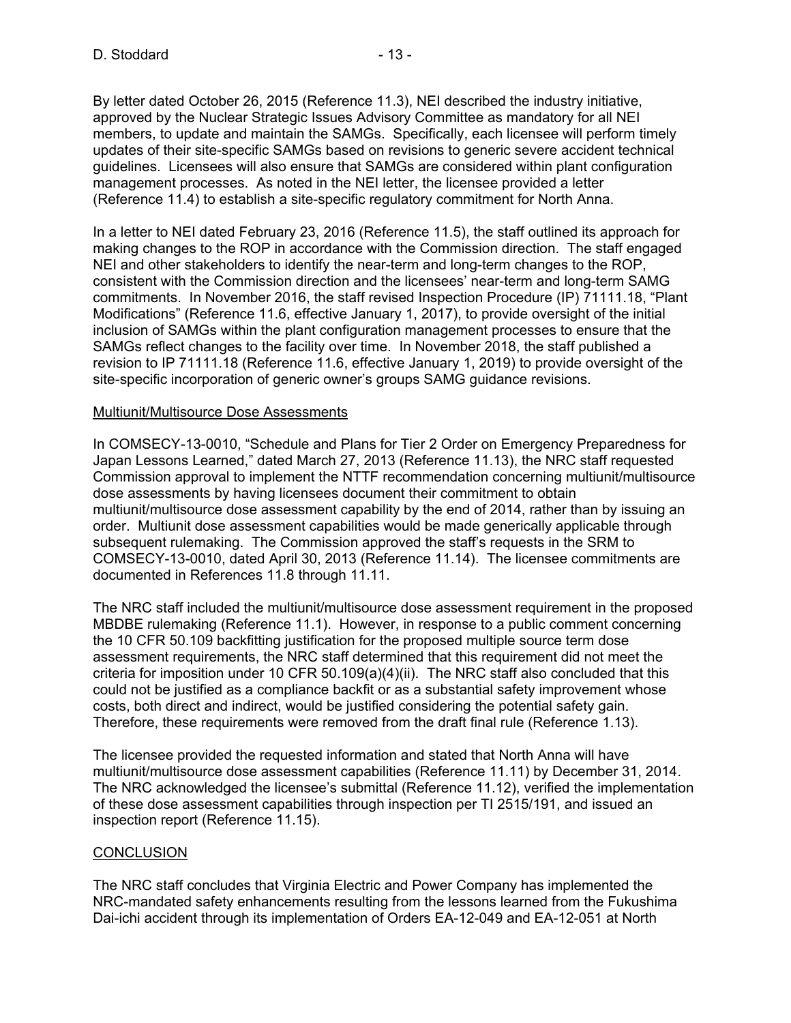By letter dated October 26, 2015 (Reference 11.3), NEI described the industry initiative, approved by the Nuclear Strategic Issues Advisory Committee as mandatory for all NEI members, to update and maintain the SAMGs. Specifically, each licensee will perform timely updates of their site-specific SAMGs based on revisions to generic severe accident technical guidelines. Licensees will also ensure that SAMGs are considered within plant configuration management processes. As noted in the NEI letter, the licensee provided a letter (Reference 11.4) to establish a site-specific regulatory commitment for North Anna.

In a letter to NEI dated February 23, 2016 (Reference 11.5), the staff outlined its approach for making changes to the ROP in accordance with the Commission direction. The staff engaged NEI and other stakeholders to identify the near-term and long-term changes to the ROP, consistent with the Commission direction and the licensees' near-term and long-term SAMG commitments. In November 2016, the staff revised Inspection Procedure (IP) 71111.18, "Plant Modifications" (Reference 11.6, effective January 1, 2017), to provide oversight of the initial inclusion of SAMGs within the plant configuration management processes to ensure that the SAMGs reflect changes to the facility over time. In November 2018, the staff published a revision to IP 71111.18 (Reference 11.6, effective January 1, 2019) to provide oversight of the site-specific incorporation of generic owner's groups SAMG guidance revisions.

#### Multiunit/Multisource Dose Assessments

In COMSECY-13-0010, "Schedule and Plans for Tier 2 Order on Emergency Preparedness for Japan Lessons Learned," dated March 27, 2013 (Reference 11.13), the NRC staff requested Commission approval to implement the NTTF recommendation concerning multiunit/multisource dose assessments by having licensees document their commitment to obtain multiunit/multisource dose assessment capability by the end of 2014, rather than by issuing an order. Multiunit dose assessment capabilities would be made generically applicable through subsequent rulemaking. The Commission approved the staff's requests in the SRM to COMSECY-13-0010, dated April 30, 2013 (Reference 11.14). The licensee commitments are documented in References 11.8 through 11.11.

The NRC staff included the multiunit/multisource dose assessment requirement in the proposed MBDBE rulemaking (Reference 11.1). However, in response to a public comment concerning the 10 CFR 50.109 backfitting justification for the proposed multiple source term dose assessment requirements, the NRC staff determined that this requirement did not meet the criteria for imposition under 10 CFR 50.109(a)(4)(ii). The NRC staff also concluded that this could not be justified as a compliance backfit or as a substantial safety improvement whose costs, both direct and indirect, would be justified considering the potential safety gain. Therefore, these requirements were removed from the draft final rule (Reference 1.13).

The licensee provided the requested information and stated that North Anna will have multiunit/multisource dose assessment capabilities (Reference 11.11) by December 31, 2014. The NRC acknowledged the licensee's submittal (Reference 11.12), verified the implementation of these dose assessment capabilities through inspection per TI 2515/191, and issued an inspection report (Reference 11.15).

### **CONCLUSION**

The NRC staff concludes that Virginia Electric and Power Company has implemented the NRC-mandated safety enhancements resulting from the lessons learned from the Fukushima Dai-ichi accident through its implementation of Orders EA-12-049 and EA-12-051 at North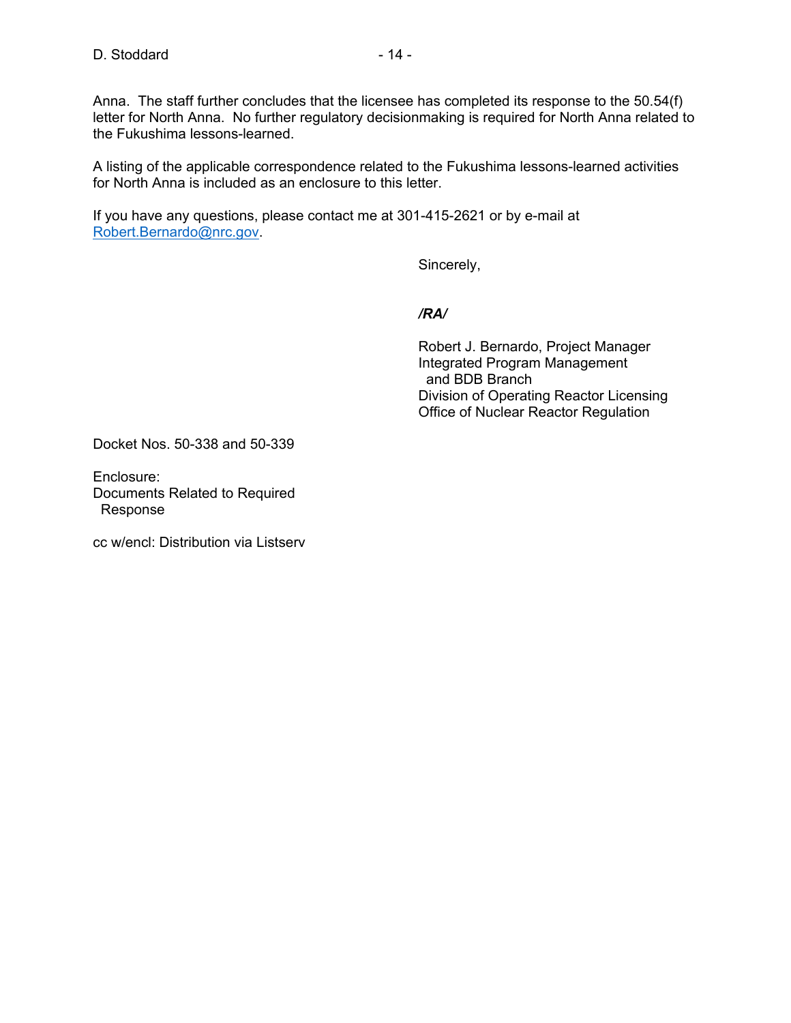Anna. The staff further concludes that the licensee has completed its response to the 50.54(f) letter for North Anna. No further regulatory decisionmaking is required for North Anna related to the Fukushima lessons-learned.

A listing of the applicable correspondence related to the Fukushima lessons-learned activities for North Anna is included as an enclosure to this letter.

If you have any questions, please contact me at 301-415-2621 or by e-mail at Robert.Bernardo@nrc.gov.

Sincerely,

### */RA/*

 Robert J. Bernardo, Project Manager Integrated Program Management and BDB Branch Division of Operating Reactor Licensing Office of Nuclear Reactor Regulation

Docket Nos. 50-338 and 50-339

Enclosure: Documents Related to Required Response

cc w/encl: Distribution via Listserv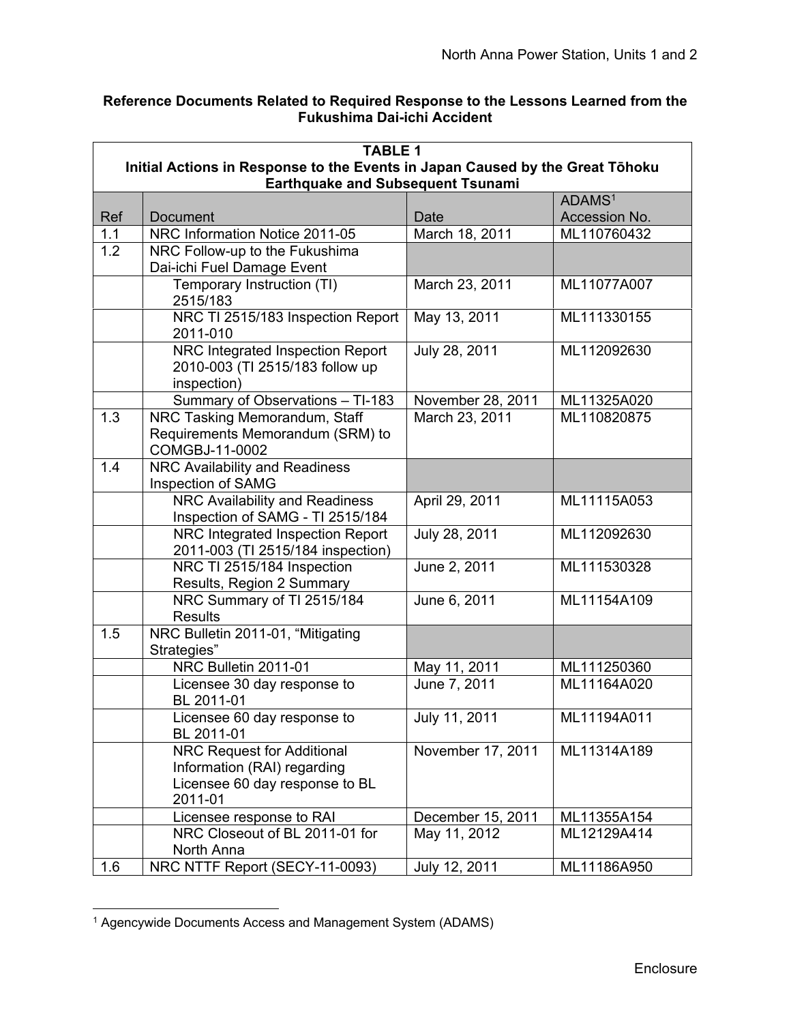## **Reference Documents Related to Required Response to the Lessons Learned from the Fukushima Dai-ichi Accident**

| <b>TABLE 1</b> |                                                                                                                           |                   |               |  |  |  |
|----------------|---------------------------------------------------------------------------------------------------------------------------|-------------------|---------------|--|--|--|
|                | Initial Actions in Response to the Events in Japan Caused by the Great Tōhoku<br><b>Earthquake and Subsequent Tsunami</b> |                   |               |  |  |  |
|                | ADAMS <sup>1</sup>                                                                                                        |                   |               |  |  |  |
| Ref            | <b>Document</b>                                                                                                           | Date              | Accession No. |  |  |  |
| 1.1            | NRC Information Notice 2011-05                                                                                            | March 18, 2011    | ML110760432   |  |  |  |
| 1.2            | NRC Follow-up to the Fukushima                                                                                            |                   |               |  |  |  |
|                | Dai-ichi Fuel Damage Event                                                                                                |                   |               |  |  |  |
|                | Temporary Instruction (TI)<br>2515/183                                                                                    | March 23, 2011    | ML11077A007   |  |  |  |
|                | NRC TI 2515/183 Inspection Report<br>2011-010                                                                             | May 13, 2011      | ML111330155   |  |  |  |
|                | NRC Integrated Inspection Report<br>2010-003 (TI 2515/183 follow up<br>inspection)                                        | July 28, 2011     | ML112092630   |  |  |  |
|                | Summary of Observations - TI-183                                                                                          | November 28, 2011 | ML11325A020   |  |  |  |
| 1.3            | NRC Tasking Memorandum, Staff<br>Requirements Memorandum (SRM) to<br>COMGBJ-11-0002                                       | March 23, 2011    | ML110820875   |  |  |  |
| 1.4            | NRC Availability and Readiness                                                                                            |                   |               |  |  |  |
|                | Inspection of SAMG                                                                                                        |                   |               |  |  |  |
|                | NRC Availability and Readiness<br>Inspection of SAMG - TI 2515/184                                                        | April 29, 2011    | ML11115A053   |  |  |  |
|                | NRC Integrated Inspection Report<br>2011-003 (TI 2515/184 inspection)                                                     | July 28, 2011     | ML112092630   |  |  |  |
|                | NRC TI 2515/184 Inspection<br>Results, Region 2 Summary                                                                   | June 2, 2011      | ML111530328   |  |  |  |
|                | NRC Summary of TI 2515/184<br><b>Results</b>                                                                              | June 6, 2011      | ML11154A109   |  |  |  |
| 1.5            | NRC Bulletin 2011-01, "Mitigating<br>Strategies"                                                                          |                   |               |  |  |  |
|                | NRC Bulletin 2011-01                                                                                                      | May 11, 2011      | ML111250360   |  |  |  |
|                | Licensee 30 day response to<br>BL 2011-01                                                                                 | June 7, 2011      | ML11164A020   |  |  |  |
|                | Licensee 60 day response to<br>BL 2011-01                                                                                 | July 11, 2011     | ML11194A011   |  |  |  |
|                | <b>NRC Request for Additional</b><br>Information (RAI) regarding<br>Licensee 60 day response to BL<br>2011-01             | November 17, 2011 | ML11314A189   |  |  |  |
|                | Licensee response to RAI                                                                                                  | December 15, 2011 | ML11355A154   |  |  |  |
|                | NRC Closeout of BL 2011-01 for<br>North Anna                                                                              | May 11, 2012      | ML12129A414   |  |  |  |
| 1.6            | NRC NTTF Report (SECY-11-0093)                                                                                            | July 12, 2011     | ML11186A950   |  |  |  |

 <sup>1</sup> Agencywide Documents Access and Management System (ADAMS)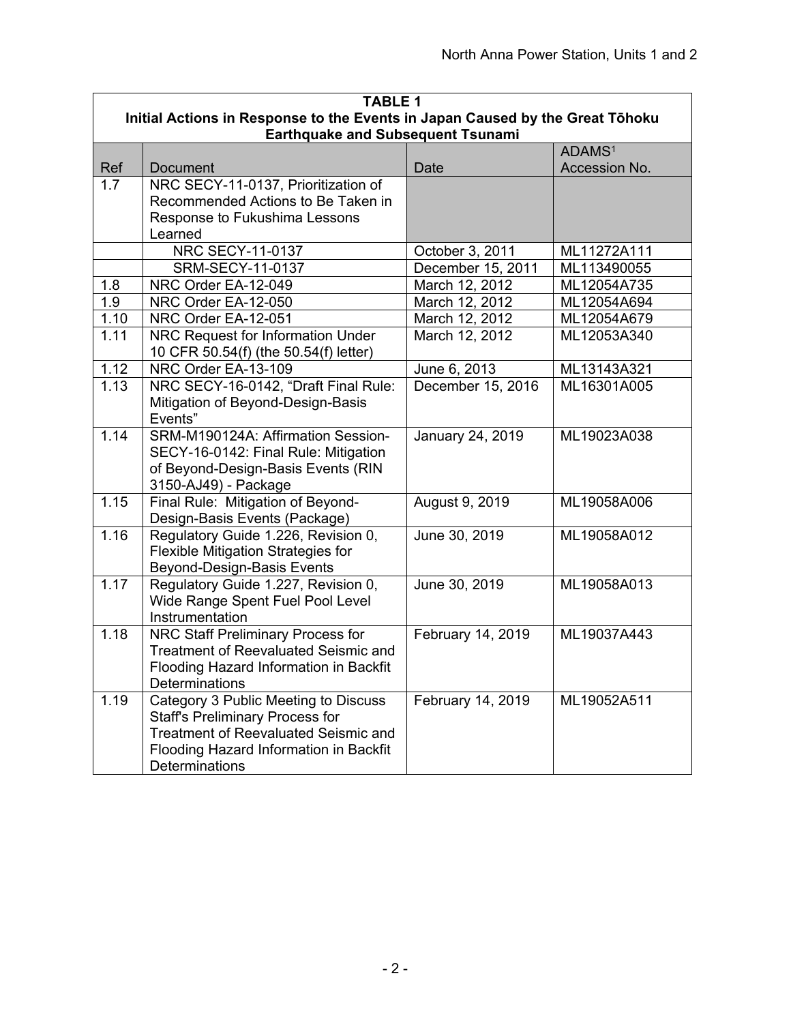| <b>TABLE 1</b> |                                                                               |                   |                    |
|----------------|-------------------------------------------------------------------------------|-------------------|--------------------|
|                | Initial Actions in Response to the Events in Japan Caused by the Great Tōhoku |                   |                    |
|                | <b>Earthquake and Subsequent Tsunami</b>                                      |                   | ADAMS <sup>1</sup> |
| Ref            | <b>Document</b>                                                               | <b>Date</b>       | Accession No.      |
| 1.7            | NRC SECY-11-0137, Prioritization of                                           |                   |                    |
|                | Recommended Actions to Be Taken in                                            |                   |                    |
|                | Response to Fukushima Lessons                                                 |                   |                    |
|                | Learned                                                                       |                   |                    |
|                | <b>NRC SECY-11-0137</b>                                                       | October 3, 2011   | ML11272A111        |
|                | SRM-SECY-11-0137                                                              | December 15, 2011 | ML113490055        |
| 1.8            | NRC Order EA-12-049                                                           | March 12, 2012    | ML12054A735        |
| 1.9            | NRC Order EA-12-050                                                           | March 12, 2012    | ML12054A694        |
| 1.10           | NRC Order EA-12-051                                                           | March 12, 2012    | ML12054A679        |
| 1.11           | NRC Request for Information Under                                             | March 12, 2012    | ML12053A340        |
|                | 10 CFR 50.54(f) (the 50.54(f) letter)                                         |                   |                    |
| 1.12           | NRC Order EA-13-109                                                           | June 6, 2013      | ML13143A321        |
| 1.13           | NRC SECY-16-0142, "Draft Final Rule:                                          | December 15, 2016 | ML16301A005        |
|                | Mitigation of Beyond-Design-Basis                                             |                   |                    |
|                | Events"                                                                       |                   |                    |
| 1.14           | SRM-M190124A: Affirmation Session-                                            | January 24, 2019  | ML19023A038        |
|                | SECY-16-0142: Final Rule: Mitigation                                          |                   |                    |
|                | of Beyond-Design-Basis Events (RIN                                            |                   |                    |
| 1.15           | 3150-AJ49) - Package<br>Final Rule: Mitigation of Beyond-                     | August 9, 2019    | ML19058A006        |
|                | Design-Basis Events (Package)                                                 |                   |                    |
| 1.16           | Regulatory Guide 1.226, Revision 0,                                           | June 30, 2019     | ML19058A012        |
|                | <b>Flexible Mitigation Strategies for</b>                                     |                   |                    |
|                | <b>Beyond-Design-Basis Events</b>                                             |                   |                    |
| 1.17           | Regulatory Guide 1.227, Revision 0,                                           | June 30, 2019     | ML19058A013        |
|                | Wide Range Spent Fuel Pool Level                                              |                   |                    |
|                | Instrumentation                                                               |                   |                    |
| 1.18           | NRC Staff Preliminary Process for                                             | February 14, 2019 | ML19037A443        |
|                | <b>Treatment of Reevaluated Seismic and</b>                                   |                   |                    |
|                | Flooding Hazard Information in Backfit                                        |                   |                    |
|                | Determinations                                                                |                   |                    |
| 1.19           | Category 3 Public Meeting to Discuss                                          | February 14, 2019 | ML19052A511        |
|                | <b>Staff's Preliminary Process for</b>                                        |                   |                    |
|                | <b>Treatment of Reevaluated Seismic and</b>                                   |                   |                    |
|                | Flooding Hazard Information in Backfit                                        |                   |                    |
|                | Determinations                                                                |                   |                    |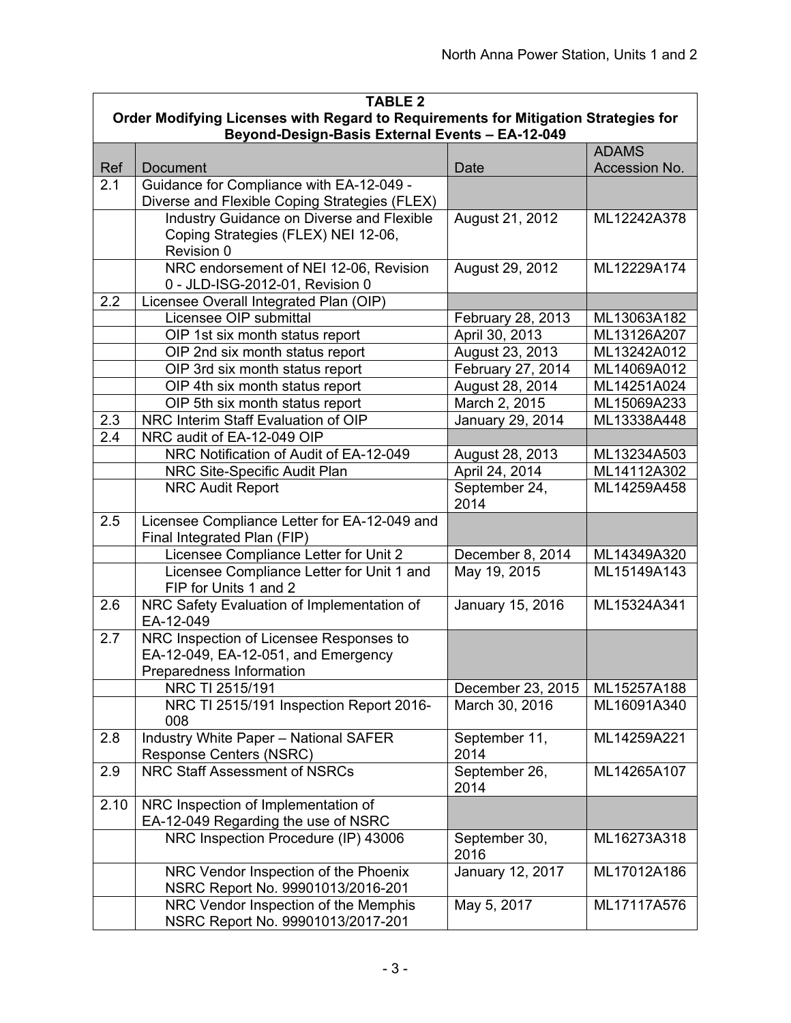| <b>TABLE 2</b> |                                                                                                            |                       |               |  |
|----------------|------------------------------------------------------------------------------------------------------------|-----------------------|---------------|--|
|                | Order Modifying Licenses with Regard to Requirements for Mitigation Strategies for                         |                       |               |  |
|                | Beyond-Design-Basis External Events - EA-12-049                                                            |                       |               |  |
|                |                                                                                                            |                       | <b>ADAMS</b>  |  |
| Ref            | <b>Document</b>                                                                                            | Date                  | Accession No. |  |
| 2.1            | Guidance for Compliance with EA-12-049 -<br>Diverse and Flexible Coping Strategies (FLEX)                  |                       |               |  |
|                | Industry Guidance on Diverse and Flexible                                                                  | August 21, 2012       | ML12242A378   |  |
|                | Coping Strategies (FLEX) NEI 12-06,<br>Revision 0                                                          |                       |               |  |
|                | NRC endorsement of NEI 12-06, Revision<br>0 - JLD-ISG-2012-01, Revision 0                                  | August 29, 2012       | ML12229A174   |  |
| 2.2            | Licensee Overall Integrated Plan (OIP)                                                                     |                       |               |  |
|                | Licensee OIP submittal                                                                                     | February 28, 2013     | ML13063A182   |  |
|                | OIP 1st six month status report                                                                            | April 30, 2013        | ML13126A207   |  |
|                | OIP 2nd six month status report                                                                            | August 23, 2013       | ML13242A012   |  |
|                | OIP 3rd six month status report                                                                            | February 27, 2014     | ML14069A012   |  |
|                | OIP 4th six month status report                                                                            | August 28, 2014       | ML14251A024   |  |
|                | OIP 5th six month status report                                                                            | March 2, 2015         | ML15069A233   |  |
| 2.3            | NRC Interim Staff Evaluation of OIP                                                                        | January 29, 2014      | ML13338A448   |  |
| 2.4            | NRC audit of EA-12-049 OIP                                                                                 |                       |               |  |
|                | NRC Notification of Audit of EA-12-049                                                                     | August 28, 2013       | ML13234A503   |  |
|                | NRC Site-Specific Audit Plan                                                                               | April 24, 2014        | ML14112A302   |  |
|                | <b>NRC Audit Report</b>                                                                                    | September 24,<br>2014 | ML14259A458   |  |
| 2.5            | Licensee Compliance Letter for EA-12-049 and<br>Final Integrated Plan (FIP)                                |                       |               |  |
|                | Licensee Compliance Letter for Unit 2                                                                      | December 8, 2014      | ML14349A320   |  |
|                | Licensee Compliance Letter for Unit 1 and<br>FIP for Units 1 and 2                                         | May 19, 2015          | ML15149A143   |  |
| 2.6            | NRC Safety Evaluation of Implementation of<br>EA-12-049                                                    | January 15, 2016      | ML15324A341   |  |
| 2.7            | NRC Inspection of Licensee Responses to<br>EA-12-049, EA-12-051, and Emergency<br>Preparedness Information |                       |               |  |
|                | NRC TI 2515/191                                                                                            | December 23, 2015     | ML15257A188   |  |
|                | NRC TI 2515/191 Inspection Report 2016-<br>008                                                             | March 30, 2016        | ML16091A340   |  |
| 2.8            | <b>Industry White Paper - National SAFER</b><br><b>Response Centers (NSRC)</b>                             | September 11,<br>2014 | ML14259A221   |  |
| 2.9            | NRC Staff Assessment of NSRCs                                                                              | September 26,<br>2014 | ML14265A107   |  |
| 2.10           | NRC Inspection of Implementation of<br>EA-12-049 Regarding the use of NSRC                                 |                       |               |  |
|                | NRC Inspection Procedure (IP) 43006                                                                        | September 30,<br>2016 | ML16273A318   |  |
|                | NRC Vendor Inspection of the Phoenix<br>NSRC Report No. 99901013/2016-201                                  | January 12, 2017      | ML17012A186   |  |
|                | NRC Vendor Inspection of the Memphis<br>NSRC Report No. 99901013/2017-201                                  | May 5, 2017           | ML17117A576   |  |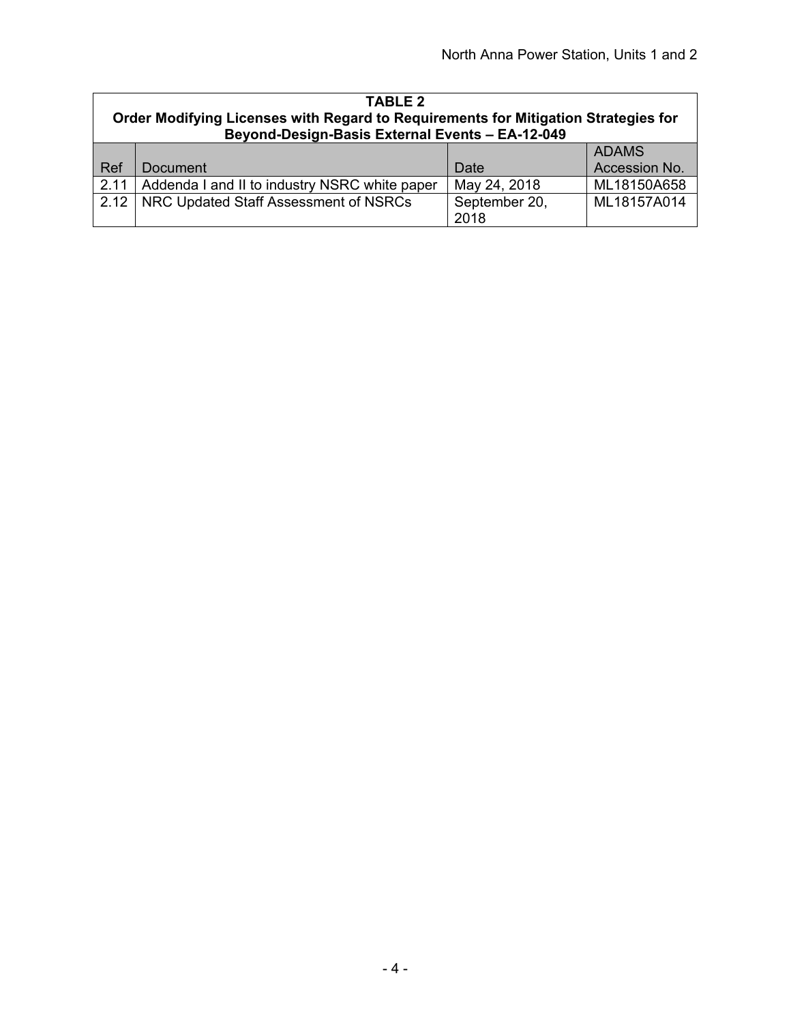| <b>TABLE 2</b><br>Order Modifying Licenses with Regard to Requirements for Mitigation Strategies for<br>Beyond-Design-Basis External Events - EA-12-049 |                                               |                       |               |
|---------------------------------------------------------------------------------------------------------------------------------------------------------|-----------------------------------------------|-----------------------|---------------|
|                                                                                                                                                         |                                               |                       | <b>ADAMS</b>  |
| Ref                                                                                                                                                     | Document                                      | Date                  | Accession No. |
| 2.11                                                                                                                                                    | Addenda I and II to industry NSRC white paper | May 24, 2018          | ML18150A658   |
| 2.12                                                                                                                                                    | NRC Updated Staff Assessment of NSRCs         | September 20,<br>2018 | ML18157A014   |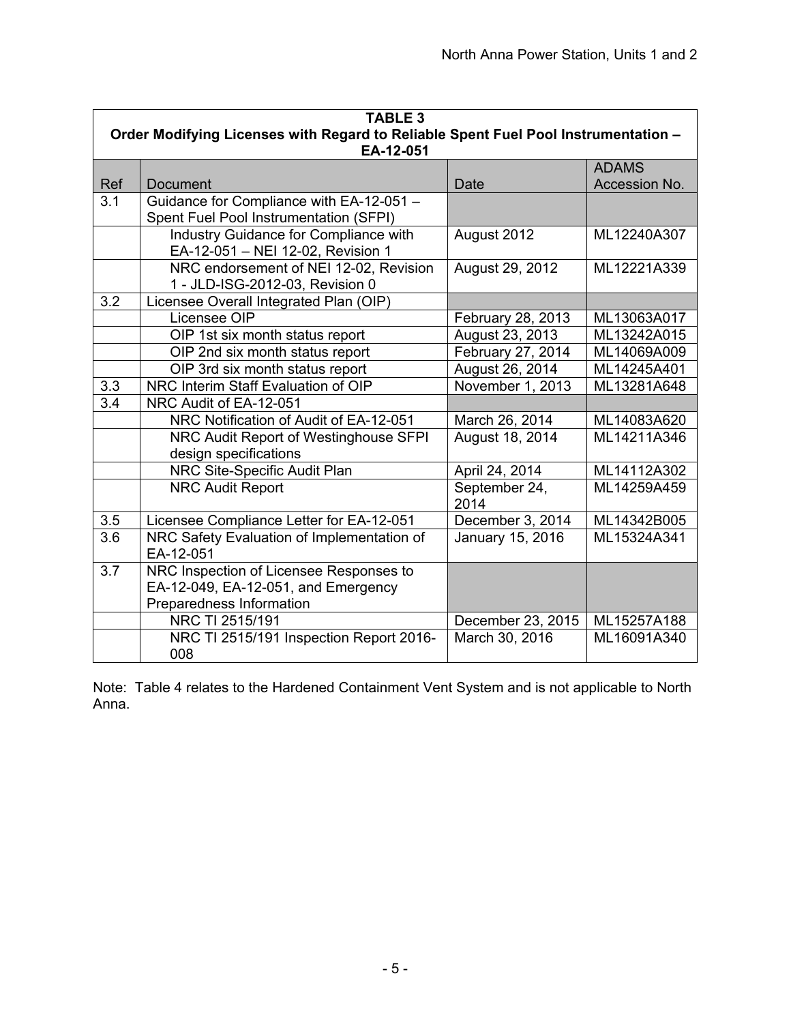| <b>TABLE 3</b> |                                                                                                 |                       |               |
|----------------|-------------------------------------------------------------------------------------------------|-----------------------|---------------|
|                | Order Modifying Licenses with Regard to Reliable Spent Fuel Pool Instrumentation -<br>EA-12-051 |                       |               |
|                |                                                                                                 |                       | <b>ADAMS</b>  |
| Ref            | Document                                                                                        | Date                  | Accession No. |
| 3.1            | Guidance for Compliance with EA-12-051 -                                                        |                       |               |
|                | Spent Fuel Pool Instrumentation (SFPI)                                                          |                       |               |
|                | Industry Guidance for Compliance with<br>EA-12-051 - NEI 12-02, Revision 1                      | August 2012           | ML12240A307   |
|                | NRC endorsement of NEI 12-02, Revision<br>1 - JLD-ISG-2012-03, Revision 0                       | August 29, 2012       | ML12221A339   |
| 3.2            | Licensee Overall Integrated Plan (OIP)                                                          |                       |               |
|                | Licensee OIP                                                                                    | February 28, 2013     | ML13063A017   |
|                | OIP 1st six month status report                                                                 | August 23, 2013       | ML13242A015   |
|                | OIP 2nd six month status report                                                                 | February 27, 2014     | ML14069A009   |
|                | OIP 3rd six month status report                                                                 | August 26, 2014       | ML14245A401   |
| 3.3            | NRC Interim Staff Evaluation of OIP                                                             | November 1, 2013      | ML13281A648   |
| 3.4            | NRC Audit of EA-12-051                                                                          |                       |               |
|                | NRC Notification of Audit of EA-12-051                                                          | March 26, 2014        | ML14083A620   |
|                | NRC Audit Report of Westinghouse SFPI                                                           | August 18, 2014       | ML14211A346   |
|                | design specifications                                                                           |                       |               |
|                | NRC Site-Specific Audit Plan                                                                    | April 24, 2014        | ML14112A302   |
|                | <b>NRC Audit Report</b>                                                                         | September 24,<br>2014 | ML14259A459   |
| 3.5            | Licensee Compliance Letter for EA-12-051                                                        | December 3, 2014      | ML14342B005   |
| 3.6            | NRC Safety Evaluation of Implementation of<br>EA-12-051                                         | January 15, 2016      | ML15324A341   |
| 3.7            | NRC Inspection of Licensee Responses to                                                         |                       |               |
|                | EA-12-049, EA-12-051, and Emergency                                                             |                       |               |
|                | Preparedness Information                                                                        |                       |               |
|                | NRC TI 2515/191                                                                                 | December 23, 2015     | ML15257A188   |
|                | NRC TI 2515/191 Inspection Report 2016-                                                         | March 30, 2016        | ML16091A340   |
|                | 008                                                                                             |                       |               |

Note: Table 4 relates to the Hardened Containment Vent System and is not applicable to North Anna.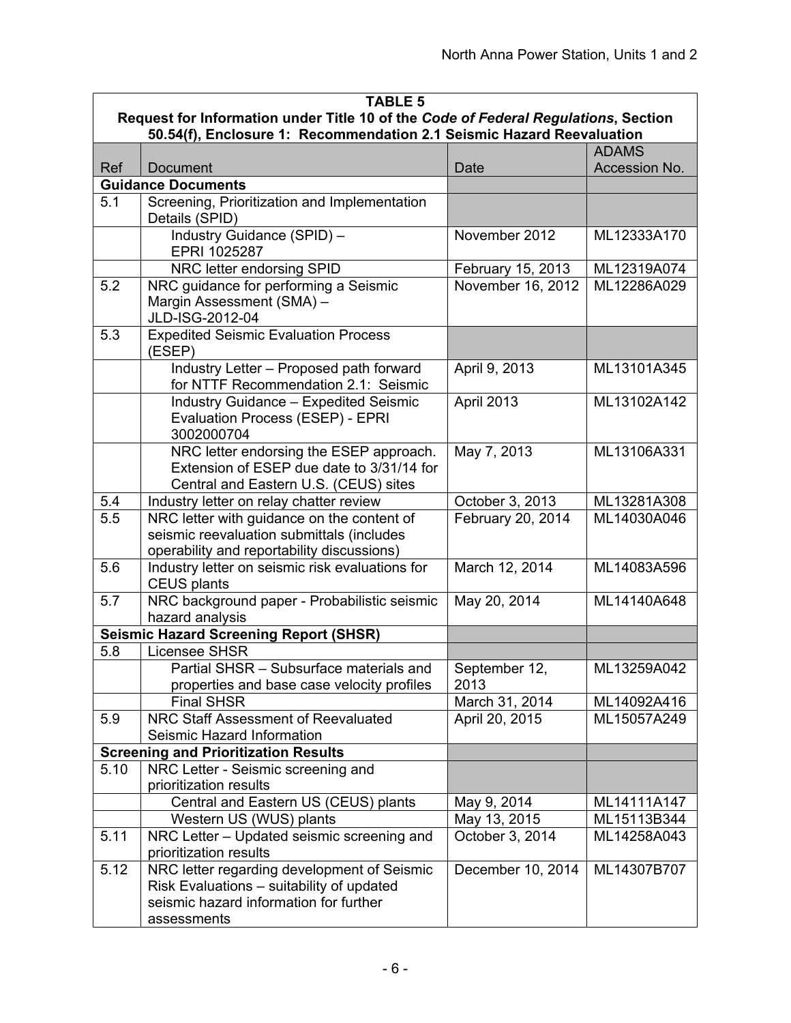| <b>TABLE 5</b> |                                                                                                                                                   |                       |               |
|----------------|---------------------------------------------------------------------------------------------------------------------------------------------------|-----------------------|---------------|
|                | Request for Information under Title 10 of the Code of Federal Regulations, Section                                                                |                       |               |
|                | 50.54(f), Enclosure 1: Recommendation 2.1 Seismic Hazard Reevaluation                                                                             |                       | <b>ADAMS</b>  |
| Ref            | Document                                                                                                                                          | Date                  | Accession No. |
|                | <b>Guidance Documents</b>                                                                                                                         |                       |               |
| 5.1            | Screening, Prioritization and Implementation                                                                                                      |                       |               |
|                | Details (SPID)                                                                                                                                    |                       |               |
|                | Industry Guidance (SPID) -<br>EPRI 1025287                                                                                                        | November 2012         | ML12333A170   |
|                | NRC letter endorsing SPID                                                                                                                         | February 15, 2013     | ML12319A074   |
| 5.2            | NRC guidance for performing a Seismic<br>Margin Assessment (SMA) -<br>JLD-ISG-2012-04                                                             | November 16, 2012     | ML12286A029   |
| 5.3            | <b>Expedited Seismic Evaluation Process</b><br>(ESEP)                                                                                             |                       |               |
|                | Industry Letter - Proposed path forward<br>for NTTF Recommendation 2.1: Seismic                                                                   | April 9, 2013         | ML13101A345   |
|                | <b>Industry Guidance - Expedited Seismic</b><br>Evaluation Process (ESEP) - EPRI<br>3002000704                                                    | April 2013            | ML13102A142   |
|                | NRC letter endorsing the ESEP approach.<br>Extension of ESEP due date to 3/31/14 for<br>Central and Eastern U.S. (CEUS) sites                     | May 7, 2013           | ML13106A331   |
| 5.4            | Industry letter on relay chatter review                                                                                                           | October 3, 2013       | ML13281A308   |
| 5.5            | NRC letter with guidance on the content of<br>seismic reevaluation submittals (includes<br>operability and reportability discussions)             | February 20, 2014     | ML14030A046   |
| 5.6            | Industry letter on seismic risk evaluations for<br><b>CEUS plants</b>                                                                             | March 12, 2014        | ML14083A596   |
| 5.7            | NRC background paper - Probabilistic seismic<br>hazard analysis                                                                                   | May 20, 2014          | ML14140A648   |
|                | <b>Seismic Hazard Screening Report (SHSR)</b>                                                                                                     |                       |               |
| 5.8            | <b>Licensee SHSR</b>                                                                                                                              |                       |               |
|                | Partial SHSR - Subsurface materials and<br>properties and base case velocity profiles                                                             | September 12,<br>2013 | ML13259A042   |
|                | <b>Final SHSR</b>                                                                                                                                 | March 31, 2014        | ML14092A416   |
| 5.9            | NRC Staff Assessment of Reevaluated                                                                                                               | April 20, 2015        | ML15057A249   |
|                | Seismic Hazard Information                                                                                                                        |                       |               |
|                | <b>Screening and Prioritization Results</b>                                                                                                       |                       |               |
| 5.10           | NRC Letter - Seismic screening and                                                                                                                |                       |               |
|                | prioritization results                                                                                                                            |                       |               |
|                | Central and Eastern US (CEUS) plants                                                                                                              | May 9, 2014           | ML14111A147   |
|                | Western US (WUS) plants                                                                                                                           | May 13, 2015          | ML15113B344   |
| 5.11           | NRC Letter - Updated seismic screening and<br>prioritization results                                                                              | October 3, 2014       | ML14258A043   |
| 5.12           | NRC letter regarding development of Seismic<br>Risk Evaluations - suitability of updated<br>seismic hazard information for further<br>assessments | December 10, 2014     | ML14307B707   |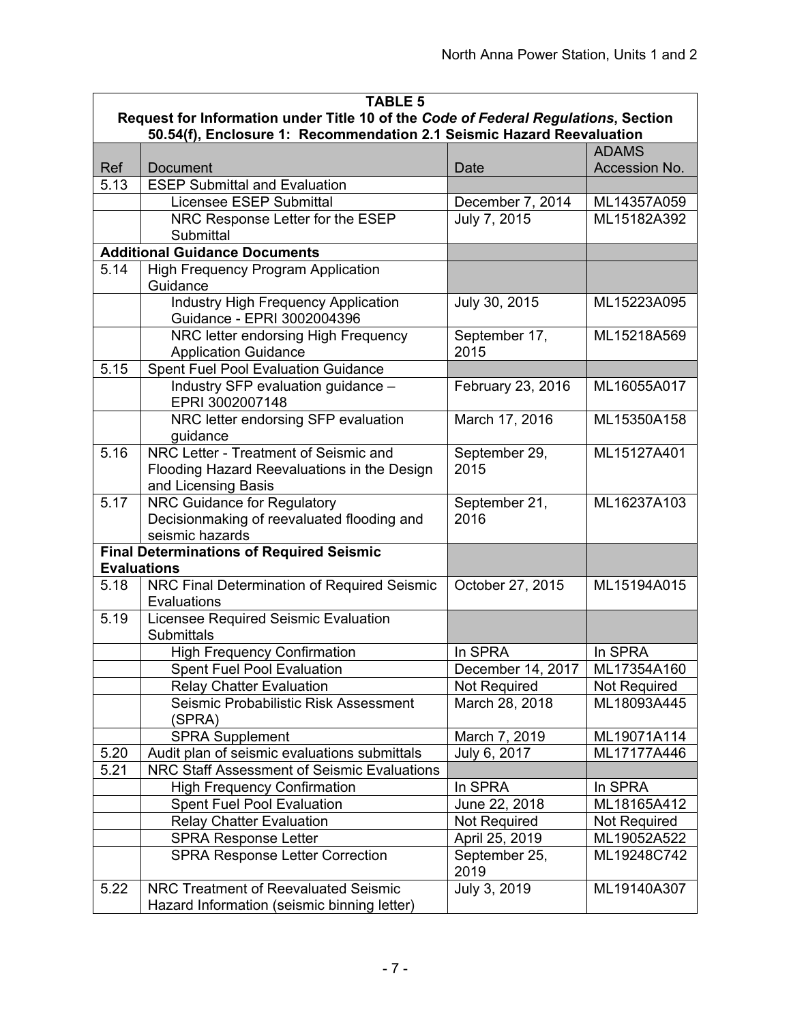| <b>TABLE 5</b>     |                                                                                                                                                             |                       |               |
|--------------------|-------------------------------------------------------------------------------------------------------------------------------------------------------------|-----------------------|---------------|
|                    | Request for Information under Title 10 of the Code of Federal Regulations, Section<br>50.54(f), Enclosure 1: Recommendation 2.1 Seismic Hazard Reevaluation |                       |               |
|                    |                                                                                                                                                             |                       | <b>ADAMS</b>  |
| Ref                | <b>Document</b>                                                                                                                                             | Date                  | Accession No. |
| 5.13               | <b>ESEP Submittal and Evaluation</b>                                                                                                                        |                       |               |
|                    | <b>Licensee ESEP Submittal</b>                                                                                                                              | December 7, 2014      | ML14357A059   |
|                    | NRC Response Letter for the ESEP                                                                                                                            | July 7, 2015          | ML15182A392   |
|                    | Submittal                                                                                                                                                   |                       |               |
|                    | <b>Additional Guidance Documents</b>                                                                                                                        |                       |               |
| 5.14               | <b>High Frequency Program Application</b>                                                                                                                   |                       |               |
|                    | Guidance                                                                                                                                                    |                       |               |
|                    | <b>Industry High Frequency Application</b><br>Guidance - EPRI 3002004396                                                                                    | July 30, 2015         | ML15223A095   |
|                    | NRC letter endorsing High Frequency                                                                                                                         | September 17,         | ML15218A569   |
|                    | <b>Application Guidance</b>                                                                                                                                 | 2015                  |               |
| 5.15               | <b>Spent Fuel Pool Evaluation Guidance</b>                                                                                                                  |                       |               |
|                    | Industry SFP evaluation guidance -<br>EPRI 3002007148                                                                                                       | February 23, 2016     | ML16055A017   |
|                    | NRC letter endorsing SFP evaluation                                                                                                                         | March 17, 2016        | ML15350A158   |
|                    | guidance                                                                                                                                                    |                       |               |
| 5.16               | NRC Letter - Treatment of Seismic and                                                                                                                       | September 29,         | ML15127A401   |
|                    | Flooding Hazard Reevaluations in the Design                                                                                                                 | 2015                  |               |
|                    | and Licensing Basis                                                                                                                                         |                       |               |
| 5.17               | NRC Guidance for Regulatory                                                                                                                                 | September 21,         | ML16237A103   |
|                    | Decisionmaking of reevaluated flooding and                                                                                                                  | 2016                  |               |
|                    | seismic hazards                                                                                                                                             |                       |               |
| <b>Evaluations</b> | <b>Final Determinations of Required Seismic</b>                                                                                                             |                       |               |
| 5.18               | NRC Final Determination of Required Seismic                                                                                                                 | October 27, 2015      | ML15194A015   |
|                    | Evaluations                                                                                                                                                 |                       |               |
| 5.19               | Licensee Required Seismic Evaluation                                                                                                                        |                       |               |
|                    | <b>Submittals</b>                                                                                                                                           |                       |               |
|                    | <b>High Frequency Confirmation</b>                                                                                                                          | In SPRA               | In SPRA       |
|                    | <b>Spent Fuel Pool Evaluation</b>                                                                                                                           | December 14, 2017     | ML17354A160   |
|                    | <b>Relay Chatter Evaluation</b>                                                                                                                             | Not Required          | Not Required  |
|                    | Seismic Probabilistic Risk Assessment                                                                                                                       | March 28, 2018        | ML18093A445   |
|                    | (SPRA)                                                                                                                                                      |                       |               |
|                    | <b>SPRA Supplement</b>                                                                                                                                      | March 7, 2019         | ML19071A114   |
| 5.20               | Audit plan of seismic evaluations submittals                                                                                                                | July 6, 2017          | ML17177A446   |
| 5.21               | NRC Staff Assessment of Seismic Evaluations                                                                                                                 |                       |               |
|                    | <b>High Frequency Confirmation</b>                                                                                                                          | In SPRA               | In SPRA       |
|                    | <b>Spent Fuel Pool Evaluation</b>                                                                                                                           | June 22, 2018         | ML18165A412   |
|                    | <b>Relay Chatter Evaluation</b>                                                                                                                             | Not Required          | Not Required  |
|                    | <b>SPRA Response Letter</b>                                                                                                                                 | April 25, 2019        | ML19052A522   |
|                    | <b>SPRA Response Letter Correction</b>                                                                                                                      | September 25,<br>2019 | ML19248C742   |
| 5.22               | <b>NRC Treatment of Reevaluated Seismic</b>                                                                                                                 | July 3, 2019          | ML19140A307   |
|                    | Hazard Information (seismic binning letter)                                                                                                                 |                       |               |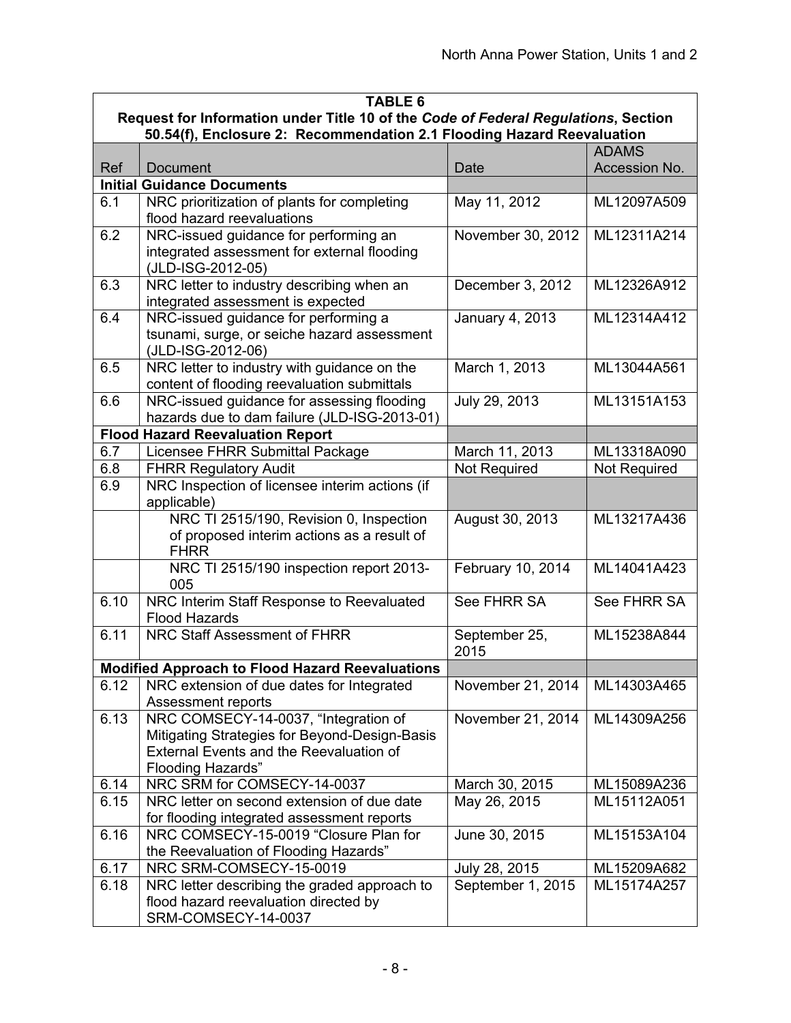|      | <b>TABLE 6</b>                                                                                                                                                      |                       |                     |  |
|------|---------------------------------------------------------------------------------------------------------------------------------------------------------------------|-----------------------|---------------------|--|
|      | Request for Information under Title 10 of the Code of Federal Regulations, Section                                                                                  |                       |                     |  |
|      | 50.54(f), Enclosure 2: Recommendation 2.1 Flooding Hazard Reevaluation                                                                                              |                       |                     |  |
|      |                                                                                                                                                                     |                       | <b>ADAMS</b>        |  |
| Ref  | <b>Document</b>                                                                                                                                                     | Date                  | Accession No.       |  |
|      | <b>Initial Guidance Documents</b>                                                                                                                                   |                       |                     |  |
| 6.1  | NRC prioritization of plants for completing<br>flood hazard reevaluations                                                                                           | May 11, 2012          | ML12097A509         |  |
| 6.2  | NRC-issued guidance for performing an<br>integrated assessment for external flooding<br>(JLD-ISG-2012-05)                                                           | November 30, 2012     | ML12311A214         |  |
| 6.3  | NRC letter to industry describing when an<br>integrated assessment is expected                                                                                      | December 3, 2012      | ML12326A912         |  |
| 6.4  | NRC-issued guidance for performing a<br>tsunami, surge, or seiche hazard assessment<br>(JLD-ISG-2012-06)                                                            | January 4, 2013       | ML12314A412         |  |
| 6.5  | NRC letter to industry with guidance on the<br>content of flooding reevaluation submittals                                                                          | March 1, 2013         | ML13044A561         |  |
| 6.6  | NRC-issued guidance for assessing flooding<br>hazards due to dam failure (JLD-ISG-2013-01)                                                                          | July 29, 2013         | ML13151A153         |  |
|      | <b>Flood Hazard Reevaluation Report</b>                                                                                                                             |                       |                     |  |
| 6.7  | Licensee FHRR Submittal Package                                                                                                                                     | March 11, 2013        | ML13318A090         |  |
| 6.8  | <b>FHRR Regulatory Audit</b>                                                                                                                                        | Not Required          | <b>Not Required</b> |  |
| 6.9  | NRC Inspection of licensee interim actions (if<br>applicable)                                                                                                       |                       |                     |  |
|      | NRC TI 2515/190, Revision 0, Inspection<br>of proposed interim actions as a result of<br><b>FHRR</b>                                                                | August 30, 2013       | ML13217A436         |  |
|      | NRC TI 2515/190 inspection report 2013-<br>005                                                                                                                      | February 10, 2014     | ML14041A423         |  |
| 6.10 | NRC Interim Staff Response to Reevaluated<br><b>Flood Hazards</b>                                                                                                   | See FHRR SA           | See FHRR SA         |  |
| 6.11 | NRC Staff Assessment of FHRR                                                                                                                                        | September 25,<br>2015 | ML15238A844         |  |
|      | <b>Modified Approach to Flood Hazard Reevaluations</b>                                                                                                              |                       |                     |  |
| 6.12 | NRC extension of due dates for Integrated<br>Assessment reports                                                                                                     | November 21, 2014     | ML14303A465         |  |
| 6.13 | NRC COMSECY-14-0037, "Integration of<br>Mitigating Strategies for Beyond-Design-Basis<br><b>External Events and the Reevaluation of</b><br><b>Flooding Hazards"</b> | November 21, 2014     | ML14309A256         |  |
| 6.14 | NRC SRM for COMSECY-14-0037                                                                                                                                         | March 30, 2015        | ML15089A236         |  |
| 6.15 | NRC letter on second extension of due date<br>for flooding integrated assessment reports                                                                            | May 26, 2015          | ML15112A051         |  |
| 6.16 | NRC COMSECY-15-0019 "Closure Plan for<br>the Reevaluation of Flooding Hazards"                                                                                      | June 30, 2015         | ML15153A104         |  |
| 6.17 | NRC SRM-COMSECY-15-0019                                                                                                                                             | July 28, 2015         | ML15209A682         |  |
| 6.18 | NRC letter describing the graded approach to<br>flood hazard reevaluation directed by<br>SRM-COMSECY-14-0037                                                        | September 1, 2015     | ML15174A257         |  |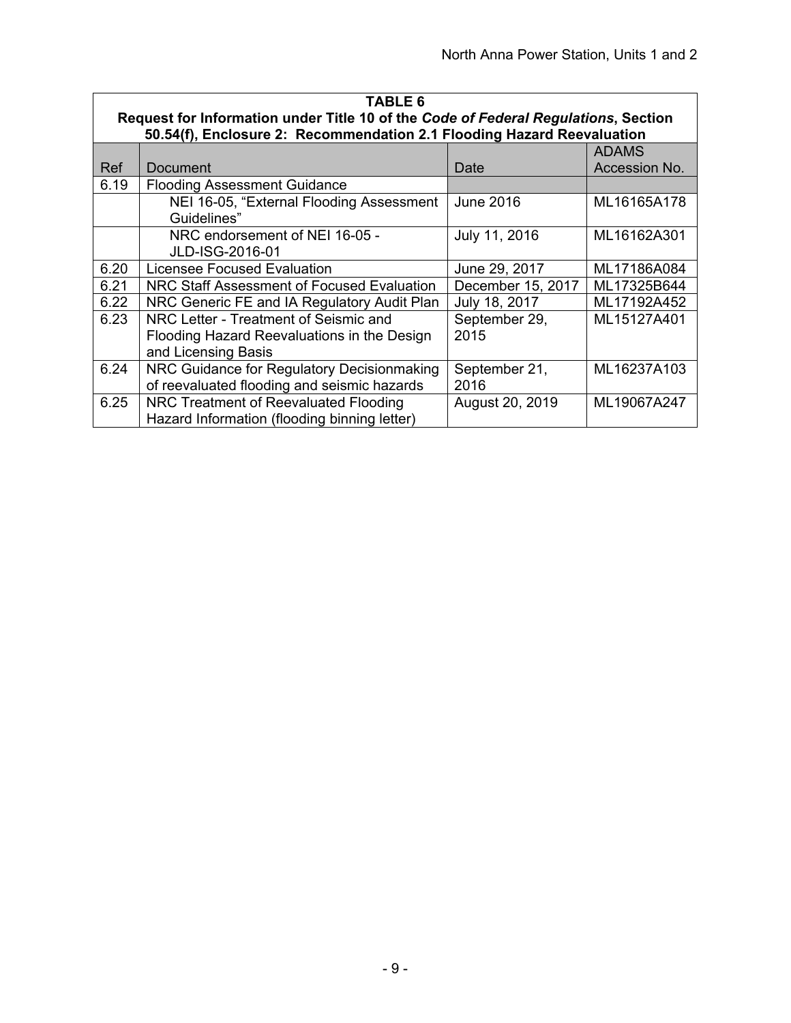| <b>TABLE 6</b>                                                                                                                                               |                                                                                                             |                       |               |  |  |  |
|--------------------------------------------------------------------------------------------------------------------------------------------------------------|-------------------------------------------------------------------------------------------------------------|-----------------------|---------------|--|--|--|
| Request for Information under Title 10 of the Code of Federal Regulations, Section<br>50.54(f), Enclosure 2: Recommendation 2.1 Flooding Hazard Reevaluation |                                                                                                             |                       |               |  |  |  |
|                                                                                                                                                              | <b>ADAMS</b>                                                                                                |                       |               |  |  |  |
| Ref                                                                                                                                                          | Document                                                                                                    | Date                  | Accession No. |  |  |  |
| 6.19                                                                                                                                                         | <b>Flooding Assessment Guidance</b>                                                                         |                       |               |  |  |  |
|                                                                                                                                                              | NEI 16-05, "External Flooding Assessment<br>Guidelines"                                                     | June 2016             | ML16165A178   |  |  |  |
|                                                                                                                                                              | NRC endorsement of NEI 16-05 -<br>JLD-ISG-2016-01                                                           | July 11, 2016         | ML16162A301   |  |  |  |
| 6.20                                                                                                                                                         | Licensee Focused Evaluation                                                                                 | June 29, 2017         | ML17186A084   |  |  |  |
| 6.21                                                                                                                                                         | NRC Staff Assessment of Focused Evaluation                                                                  | December 15, 2017     | ML17325B644   |  |  |  |
| 6.22                                                                                                                                                         | NRC Generic FE and IA Regulatory Audit Plan                                                                 | July 18, 2017         | ML17192A452   |  |  |  |
| 6.23                                                                                                                                                         | NRC Letter - Treatment of Seismic and<br>Flooding Hazard Reevaluations in the Design<br>and Licensing Basis | September 29,<br>2015 | ML15127A401   |  |  |  |
| 6.24                                                                                                                                                         | NRC Guidance for Regulatory Decisionmaking<br>of reevaluated flooding and seismic hazards                   | September 21,<br>2016 | ML16237A103   |  |  |  |
| 6.25                                                                                                                                                         | NRC Treatment of Reevaluated Flooding<br>Hazard Information (flooding binning letter)                       | August 20, 2019       | ML19067A247   |  |  |  |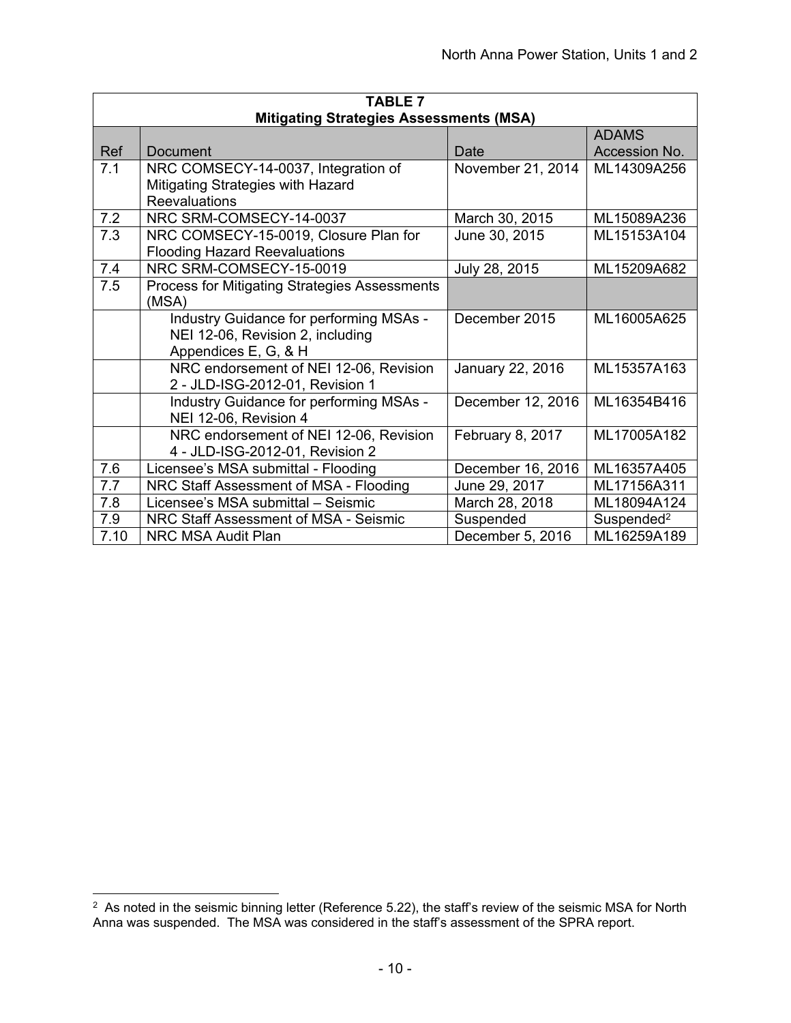| <b>TABLE 7</b> |                                                |                   |                        |  |
|----------------|------------------------------------------------|-------------------|------------------------|--|
|                | <b>Mitigating Strategies Assessments (MSA)</b> |                   |                        |  |
|                |                                                |                   | <b>ADAMS</b>           |  |
| Ref            | Document                                       | Date              | Accession No.          |  |
| 7.1            | NRC COMSECY-14-0037, Integration of            | November 21, 2014 | ML14309A256            |  |
|                | Mitigating Strategies with Hazard              |                   |                        |  |
|                | Reevaluations                                  |                   |                        |  |
| 7.2            | NRC SRM-COMSECY-14-0037                        | March 30, 2015    | ML15089A236            |  |
| 7.3            | NRC COMSECY-15-0019, Closure Plan for          | June 30, 2015     | ML15153A104            |  |
|                | <b>Flooding Hazard Reevaluations</b>           |                   |                        |  |
| 7.4            | NRC SRM-COMSECY-15-0019                        | July 28, 2015     | ML15209A682            |  |
| 7.5            | Process for Mitigating Strategies Assessments  |                   |                        |  |
|                | (MSA)                                          |                   |                        |  |
|                | Industry Guidance for performing MSAs -        | December 2015     | ML16005A625            |  |
|                | NEI 12-06, Revision 2, including               |                   |                        |  |
|                | Appendices E, G, & H                           |                   |                        |  |
|                | NRC endorsement of NEI 12-06, Revision         | January 22, 2016  | ML15357A163            |  |
|                | 2 - JLD-ISG-2012-01, Revision 1                |                   |                        |  |
|                | Industry Guidance for performing MSAs -        | December 12, 2016 | ML16354B416            |  |
|                | NEI 12-06, Revision 4                          |                   |                        |  |
|                | NRC endorsement of NEI 12-06, Revision         | February 8, 2017  | ML17005A182            |  |
|                | 4 - JLD-ISG-2012-01, Revision 2                |                   |                        |  |
| 7.6            | Licensee's MSA submittal - Flooding            | December 16, 2016 | ML16357A405            |  |
| 7.7            | NRC Staff Assessment of MSA - Flooding         | June 29, 2017     | ML17156A311            |  |
| 7.8            | Licensee's MSA submittal - Seismic             | March 28, 2018    | ML18094A124            |  |
| 7.9            | NRC Staff Assessment of MSA - Seismic          | Suspended         | Suspended <sup>2</sup> |  |
| 7.10           | <b>NRC MSA Audit Plan</b>                      | December 5, 2016  | ML16259A189            |  |

 $\overline{a}$ 

 $^2$  As noted in the seismic binning letter (Reference 5.22), the staff's review of the seismic MSA for North Anna was suspended. The MSA was considered in the staff's assessment of the SPRA report.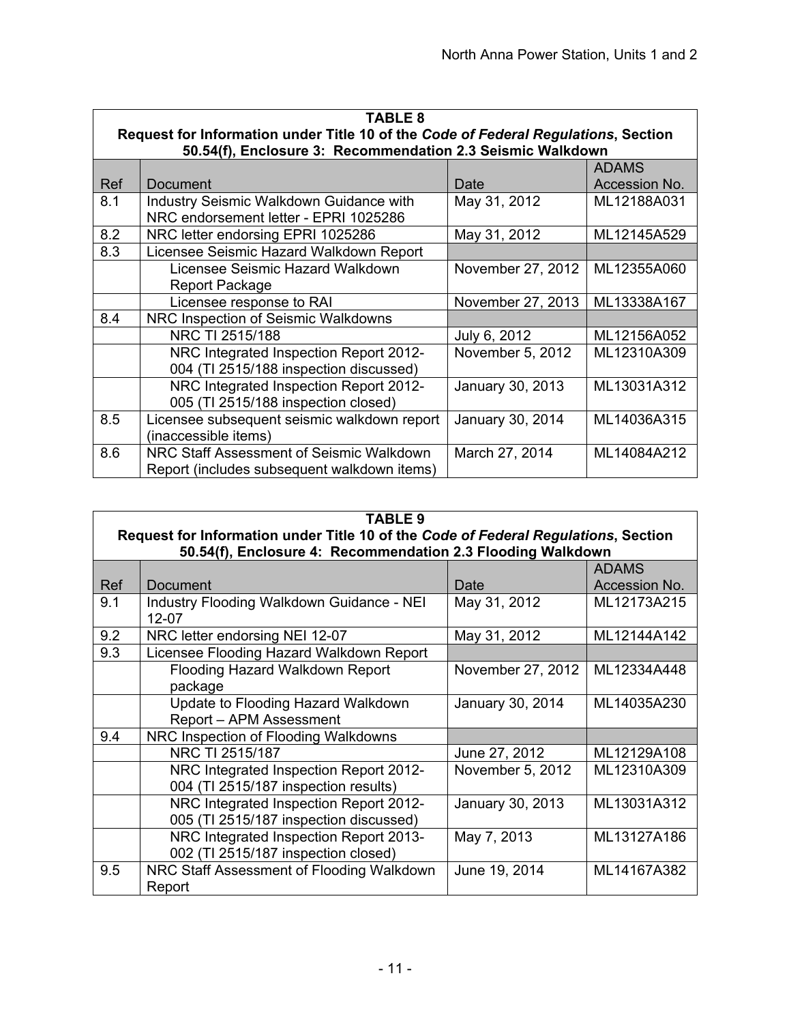|     | <b>TABLE 8</b>                                                                     |                   |               |  |
|-----|------------------------------------------------------------------------------------|-------------------|---------------|--|
|     | Request for Information under Title 10 of the Code of Federal Regulations, Section |                   |               |  |
|     | 50.54(f), Enclosure 3: Recommendation 2.3 Seismic Walkdown                         |                   |               |  |
|     |                                                                                    |                   | <b>ADAMS</b>  |  |
| Ref | Document                                                                           | Date              | Accession No. |  |
| 8.1 | <b>Industry Seismic Walkdown Guidance with</b>                                     | May 31, 2012      | ML12188A031   |  |
|     | NRC endorsement letter - EPRI 1025286                                              |                   |               |  |
| 8.2 | NRC letter endorsing EPRI 1025286                                                  | May 31, 2012      | ML12145A529   |  |
| 8.3 | Licensee Seismic Hazard Walkdown Report                                            |                   |               |  |
|     | Licensee Seismic Hazard Walkdown                                                   | November 27, 2012 | ML12355A060   |  |
|     | Report Package                                                                     |                   |               |  |
|     | Licensee response to RAI                                                           | November 27, 2013 | ML13338A167   |  |
| 8.4 | NRC Inspection of Seismic Walkdowns                                                |                   |               |  |
|     | NRC TI 2515/188                                                                    | July 6, 2012      | ML12156A052   |  |
|     | NRC Integrated Inspection Report 2012-                                             | November 5, 2012  | ML12310A309   |  |
|     | 004 (TI 2515/188 inspection discussed)                                             |                   |               |  |
|     | NRC Integrated Inspection Report 2012-                                             | January 30, 2013  | ML13031A312   |  |
|     | 005 (TI 2515/188 inspection closed)                                                |                   |               |  |
| 8.5 | Licensee subsequent seismic walkdown report                                        | January 30, 2014  | ML14036A315   |  |
|     | (inaccessible items)                                                               |                   |               |  |
| 8.6 | NRC Staff Assessment of Seismic Walkdown                                           | March 27, 2014    | ML14084A212   |  |
|     | Report (includes subsequent walkdown items)                                        |                   |               |  |

|     | <b>TABLE 9</b>                                                                     |                   |               |  |
|-----|------------------------------------------------------------------------------------|-------------------|---------------|--|
|     | Request for Information under Title 10 of the Code of Federal Regulations, Section |                   |               |  |
|     | 50.54(f), Enclosure 4: Recommendation 2.3 Flooding Walkdown                        |                   |               |  |
|     |                                                                                    |                   | <b>ADAMS</b>  |  |
| Ref | Document                                                                           | Date              | Accession No. |  |
| 9.1 | Industry Flooding Walkdown Guidance - NEI                                          | May 31, 2012      | ML12173A215   |  |
|     | 12-07                                                                              |                   |               |  |
| 9.2 | NRC letter endorsing NEI 12-07                                                     | May 31, 2012      | ML12144A142   |  |
| 9.3 | Licensee Flooding Hazard Walkdown Report                                           |                   |               |  |
|     | Flooding Hazard Walkdown Report                                                    | November 27, 2012 | ML12334A448   |  |
|     | package                                                                            |                   |               |  |
|     | Update to Flooding Hazard Walkdown                                                 | January 30, 2014  | ML14035A230   |  |
|     | Report - APM Assessment                                                            |                   |               |  |
| 9.4 | NRC Inspection of Flooding Walkdowns                                               |                   |               |  |
|     | NRC TI 2515/187                                                                    | June 27, 2012     | ML12129A108   |  |
|     | NRC Integrated Inspection Report 2012-                                             | November 5, 2012  | ML12310A309   |  |
|     | 004 (TI 2515/187 inspection results)                                               |                   |               |  |
|     | NRC Integrated Inspection Report 2012-                                             | January 30, 2013  | ML13031A312   |  |
|     | 005 (TI 2515/187 inspection discussed)                                             |                   |               |  |
|     | NRC Integrated Inspection Report 2013-                                             | May 7, 2013       | ML13127A186   |  |
|     | 002 (TI 2515/187 inspection closed)                                                |                   |               |  |
| 9.5 | NRC Staff Assessment of Flooding Walkdown                                          | June 19, 2014     | ML14167A382   |  |
|     | Report                                                                             |                   |               |  |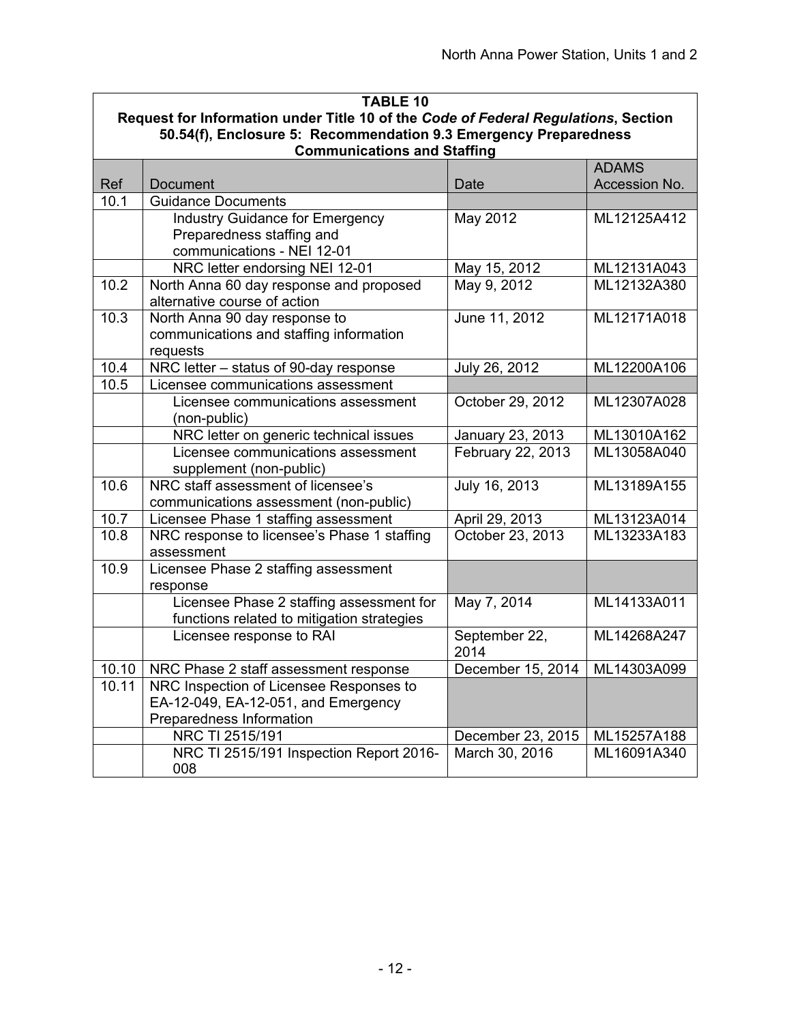|                                                                                                        | <b>TABLE 10</b>                                                                    |                   |               |  |  |  |
|--------------------------------------------------------------------------------------------------------|------------------------------------------------------------------------------------|-------------------|---------------|--|--|--|
|                                                                                                        | Request for Information under Title 10 of the Code of Federal Regulations, Section |                   |               |  |  |  |
| 50.54(f), Enclosure 5: Recommendation 9.3 Emergency Preparedness<br><b>Communications and Staffing</b> |                                                                                    |                   |               |  |  |  |
|                                                                                                        |                                                                                    |                   | <b>ADAMS</b>  |  |  |  |
| Ref                                                                                                    | Document                                                                           | Date              | Accession No. |  |  |  |
| 10.1                                                                                                   | <b>Guidance Documents</b>                                                          |                   |               |  |  |  |
|                                                                                                        | <b>Industry Guidance for Emergency</b>                                             | May 2012          | ML12125A412   |  |  |  |
|                                                                                                        | Preparedness staffing and                                                          |                   |               |  |  |  |
|                                                                                                        | communications - NEI 12-01                                                         |                   |               |  |  |  |
|                                                                                                        | NRC letter endorsing NEI 12-01                                                     | May 15, 2012      | ML12131A043   |  |  |  |
| 10.2                                                                                                   | North Anna 60 day response and proposed                                            | May 9, 2012       | ML12132A380   |  |  |  |
|                                                                                                        | alternative course of action                                                       |                   |               |  |  |  |
| 10.3                                                                                                   | North Anna 90 day response to                                                      | June 11, 2012     | ML12171A018   |  |  |  |
|                                                                                                        | communications and staffing information<br>requests                                |                   |               |  |  |  |
| 10.4                                                                                                   | NRC letter - status of 90-day response                                             | July 26, 2012     | ML12200A106   |  |  |  |
| 10.5                                                                                                   | Licensee communications assessment                                                 |                   |               |  |  |  |
|                                                                                                        | Licensee communications assessment                                                 | October 29, 2012  | ML12307A028   |  |  |  |
|                                                                                                        | (non-public)                                                                       |                   |               |  |  |  |
|                                                                                                        | NRC letter on generic technical issues                                             | January 23, 2013  | ML13010A162   |  |  |  |
|                                                                                                        | Licensee communications assessment                                                 | February 22, 2013 | ML13058A040   |  |  |  |
|                                                                                                        | supplement (non-public)                                                            |                   |               |  |  |  |
| 10.6                                                                                                   | NRC staff assessment of licensee's                                                 | July 16, 2013     | ML13189A155   |  |  |  |
|                                                                                                        | communications assessment (non-public)                                             |                   |               |  |  |  |
| 10.7                                                                                                   | Licensee Phase 1 staffing assessment                                               | April 29, 2013    | ML13123A014   |  |  |  |
| 10.8                                                                                                   | NRC response to licensee's Phase 1 staffing                                        | October 23, 2013  | ML13233A183   |  |  |  |
|                                                                                                        | assessment                                                                         |                   |               |  |  |  |
| 10.9                                                                                                   | Licensee Phase 2 staffing assessment                                               |                   |               |  |  |  |
|                                                                                                        | response<br>Licensee Phase 2 staffing assessment for                               | May 7, 2014       | ML14133A011   |  |  |  |
|                                                                                                        | functions related to mitigation strategies                                         |                   |               |  |  |  |
|                                                                                                        | Licensee response to RAI                                                           | September 22,     | ML14268A247   |  |  |  |
|                                                                                                        |                                                                                    | 2014              |               |  |  |  |
| 10.10                                                                                                  | NRC Phase 2 staff assessment response                                              | December 15, 2014 | ML14303A099   |  |  |  |
| 10.11                                                                                                  | NRC Inspection of Licensee Responses to                                            |                   |               |  |  |  |
|                                                                                                        | EA-12-049, EA-12-051, and Emergency                                                |                   |               |  |  |  |
|                                                                                                        | Preparedness Information                                                           |                   |               |  |  |  |
|                                                                                                        | NRC TI 2515/191                                                                    | December 23, 2015 | ML15257A188   |  |  |  |
|                                                                                                        | NRC TI 2515/191 Inspection Report 2016-                                            | March 30, 2016    | ML16091A340   |  |  |  |
|                                                                                                        | 008                                                                                |                   |               |  |  |  |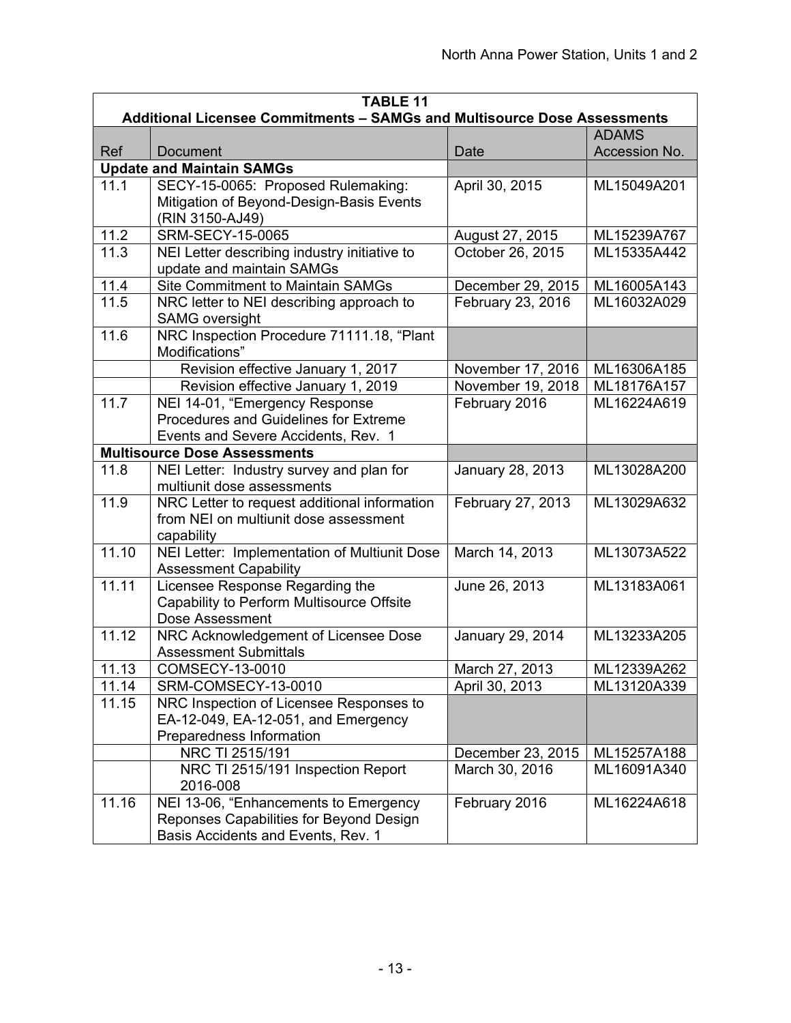| <b>TABLE 11</b><br>Additional Licensee Commitments - SAMGs and Multisource Dose Assessments |                                                                              |                   |                               |  |
|---------------------------------------------------------------------------------------------|------------------------------------------------------------------------------|-------------------|-------------------------------|--|
|                                                                                             |                                                                              |                   |                               |  |
| Ref                                                                                         | Document                                                                     | Date              | <b>ADAMS</b><br>Accession No. |  |
|                                                                                             | <b>Update and Maintain SAMGs</b>                                             |                   |                               |  |
| 11.1                                                                                        | SECY-15-0065: Proposed Rulemaking:                                           | April 30, 2015    | ML15049A201                   |  |
|                                                                                             | Mitigation of Beyond-Design-Basis Events                                     |                   |                               |  |
|                                                                                             | (RIN 3150-AJ49)                                                              |                   |                               |  |
| 11.2                                                                                        | <b>SRM-SECY-15-0065</b>                                                      | August 27, 2015   | ML15239A767                   |  |
| 11.3                                                                                        | NEI Letter describing industry initiative to                                 | October 26, 2015  | ML15335A442                   |  |
|                                                                                             | update and maintain SAMGs                                                    |                   |                               |  |
| 11.4                                                                                        | <b>Site Commitment to Maintain SAMGs</b>                                     | December 29, 2015 | ML16005A143                   |  |
| 11.5                                                                                        | NRC letter to NEI describing approach to                                     | February 23, 2016 | ML16032A029                   |  |
|                                                                                             | <b>SAMG</b> oversight                                                        |                   |                               |  |
| 11.6                                                                                        | NRC Inspection Procedure 71111.18, "Plant                                    |                   |                               |  |
|                                                                                             | Modifications"                                                               |                   |                               |  |
|                                                                                             | Revision effective January 1, 2017                                           | November 17, 2016 | ML16306A185                   |  |
|                                                                                             | Revision effective January 1, 2019                                           | November 19, 2018 | ML18176A157                   |  |
| 11.7                                                                                        | NEI 14-01, "Emergency Response                                               | February 2016     | ML16224A619                   |  |
|                                                                                             | Procedures and Guidelines for Extreme                                        |                   |                               |  |
|                                                                                             | Events and Severe Accidents, Rev. 1                                          |                   |                               |  |
|                                                                                             | <b>Multisource Dose Assessments</b>                                          |                   |                               |  |
| 11.8                                                                                        | NEI Letter: Industry survey and plan for                                     | January 28, 2013  | ML13028A200                   |  |
|                                                                                             | multiunit dose assessments                                                   |                   |                               |  |
| 11.9                                                                                        | NRC Letter to request additional information                                 | February 27, 2013 | ML13029A632                   |  |
|                                                                                             | from NEI on multiunit dose assessment                                        |                   |                               |  |
|                                                                                             | capability                                                                   |                   |                               |  |
| 11.10                                                                                       | NEI Letter: Implementation of Multiunit Dose<br><b>Assessment Capability</b> | March 14, 2013    | ML13073A522                   |  |
| 11.11                                                                                       | Licensee Response Regarding the                                              | June 26, 2013     | ML13183A061                   |  |
|                                                                                             | Capability to Perform Multisource Offsite                                    |                   |                               |  |
|                                                                                             | Dose Assessment                                                              |                   |                               |  |
| 11.12                                                                                       | NRC Acknowledgement of Licensee Dose                                         | January 29, 2014  | ML13233A205                   |  |
|                                                                                             | <b>Assessment Submittals</b>                                                 |                   |                               |  |
| 11.13                                                                                       | COMSECY-13-0010                                                              | March 27, 2013    | ML12339A262                   |  |
| 11.14                                                                                       | SRM-COMSECY-13-0010                                                          | April 30, 2013    | ML13120A339                   |  |
| 11.15                                                                                       | NRC Inspection of Licensee Responses to                                      |                   |                               |  |
|                                                                                             | EA-12-049, EA-12-051, and Emergency                                          |                   |                               |  |
|                                                                                             | Preparedness Information                                                     |                   |                               |  |
|                                                                                             | NRC TI 2515/191                                                              | December 23, 2015 | ML15257A188                   |  |
|                                                                                             | NRC TI 2515/191 Inspection Report                                            | March 30, 2016    | ML16091A340                   |  |
|                                                                                             | 2016-008                                                                     |                   |                               |  |
| 11.16                                                                                       | NEI 13-06, "Enhancements to Emergency                                        | February 2016     | ML16224A618                   |  |
|                                                                                             | Reponses Capabilities for Beyond Design                                      |                   |                               |  |
|                                                                                             | Basis Accidents and Events, Rev. 1                                           |                   |                               |  |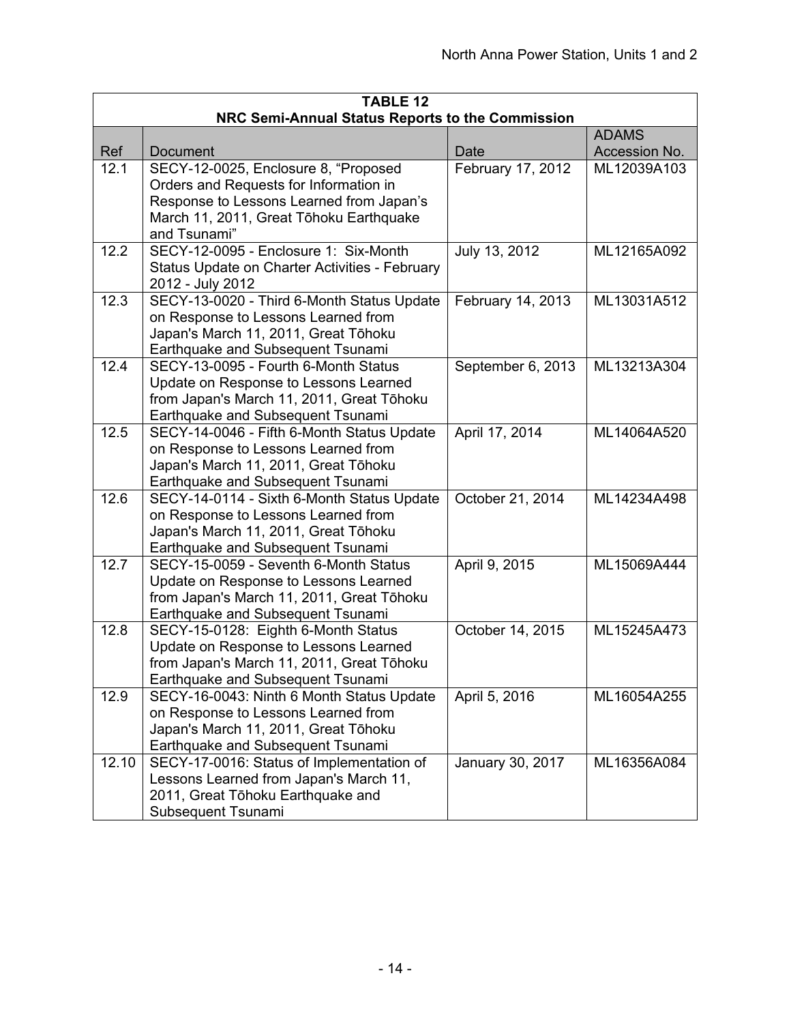| <b>TABLE 12</b>                                                  |                                                                                                                                                                                       |                   |               |  |  |
|------------------------------------------------------------------|---------------------------------------------------------------------------------------------------------------------------------------------------------------------------------------|-------------------|---------------|--|--|
| NRC Semi-Annual Status Reports to the Commission<br><b>ADAMS</b> |                                                                                                                                                                                       |                   |               |  |  |
| Ref                                                              | <b>Document</b>                                                                                                                                                                       | Date              | Accession No. |  |  |
| 12.1                                                             | SECY-12-0025, Enclosure 8, "Proposed<br>Orders and Requests for Information in<br>Response to Lessons Learned from Japan's<br>March 11, 2011, Great Tōhoku Earthquake<br>and Tsunami" | February 17, 2012 | ML12039A103   |  |  |
| 12.2                                                             | SECY-12-0095 - Enclosure 1: Six-Month<br>Status Update on Charter Activities - February<br>2012 - July 2012                                                                           | July 13, 2012     | ML12165A092   |  |  |
| 12.3                                                             | SECY-13-0020 - Third 6-Month Status Update<br>on Response to Lessons Learned from<br>Japan's March 11, 2011, Great Tōhoku<br>Earthquake and Subsequent Tsunami                        | February 14, 2013 | ML13031A512   |  |  |
| 12.4                                                             | SECY-13-0095 - Fourth 6-Month Status<br>Update on Response to Lessons Learned<br>from Japan's March 11, 2011, Great Tōhoku<br>Earthquake and Subsequent Tsunami                       | September 6, 2013 | ML13213A304   |  |  |
| 12.5                                                             | SECY-14-0046 - Fifth 6-Month Status Update<br>on Response to Lessons Learned from<br>Japan's March 11, 2011, Great Tōhoku<br>Earthquake and Subsequent Tsunami                        | April 17, 2014    | ML14064A520   |  |  |
| 12.6                                                             | SECY-14-0114 - Sixth 6-Month Status Update<br>on Response to Lessons Learned from<br>Japan's March 11, 2011, Great Tōhoku<br>Earthquake and Subsequent Tsunami                        | October 21, 2014  | ML14234A498   |  |  |
| 12.7                                                             | SECY-15-0059 - Seventh 6-Month Status<br>Update on Response to Lessons Learned<br>from Japan's March 11, 2011, Great Tōhoku<br>Earthquake and Subsequent Tsunami                      | April 9, 2015     | ML15069A444   |  |  |
| 12.8                                                             | SECY-15-0128: Eighth 6-Month Status<br>Update on Response to Lessons Learned<br>from Japan's March 11, 2011, Great Tōhoku<br>Earthquake and Subsequent Tsunami                        | October 14, 2015  | ML15245A473   |  |  |
| 12.9                                                             | SECY-16-0043: Ninth 6 Month Status Update<br>on Response to Lessons Learned from<br>Japan's March 11, 2011, Great Tōhoku<br>Earthquake and Subsequent Tsunami                         | April 5, 2016     | ML16054A255   |  |  |
| 12.10                                                            | SECY-17-0016: Status of Implementation of<br>Lessons Learned from Japan's March 11,<br>2011, Great Tōhoku Earthquake and<br>Subsequent Tsunami                                        | January 30, 2017  | ML16356A084   |  |  |